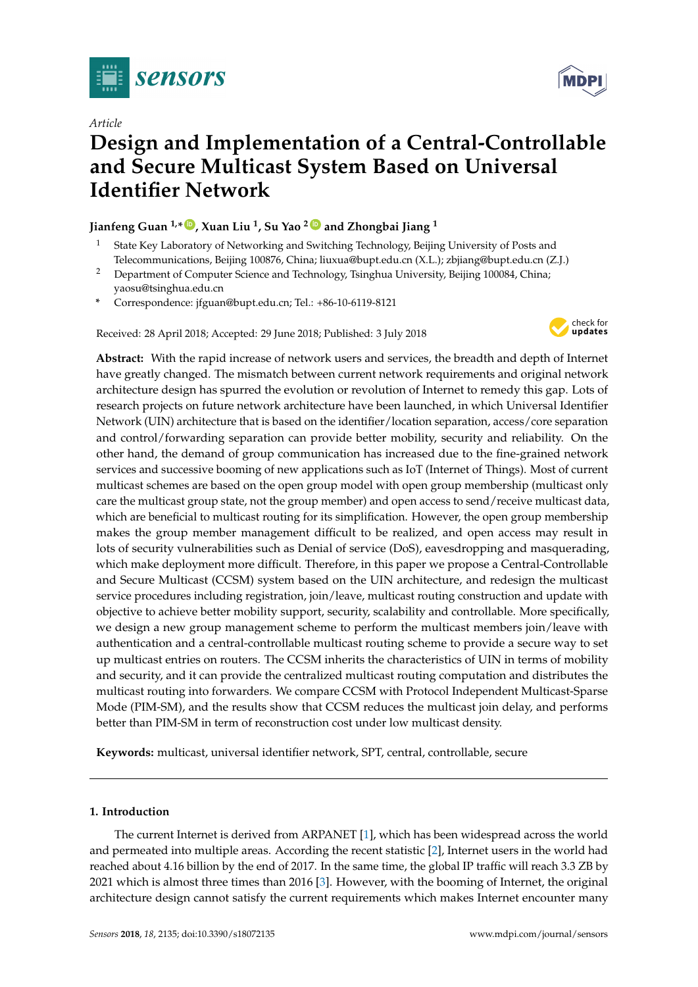

*Article*

# **Design and Implementation of a Central-Controllable and Secure Multicast System Based on Universal Identifier Network**

## **Jianfeng Guan 1,\* [ID](https://orcid.org/0000-0002-4411-0741) , Xuan Liu <sup>1</sup> , Su Yao <sup>2</sup> [ID](https://orcid.org/0000-0001-5165-2787) and Zhongbai Jiang <sup>1</sup>**

- <sup>1</sup> State Key Laboratory of Networking and Switching Technology, Beijing University of Posts and Telecommunications, Beijing 100876, China; liuxua@bupt.edu.cn (X.L.); zbjiang@bupt.edu.cn (Z.J.)
- <sup>2</sup> Department of Computer Science and Technology, Tsinghua University, Beijing 100084, China; yaosu@tsinghua.edu.cn
- **\*** Correspondence: jfguan@bupt.edu.cn; Tel.: +86-10-6119-8121

Received: 28 April 2018; Accepted: 29 June 2018; Published: 3 July 2018



**Abstract:** With the rapid increase of network users and services, the breadth and depth of Internet have greatly changed. The mismatch between current network requirements and original network architecture design has spurred the evolution or revolution of Internet to remedy this gap. Lots of research projects on future network architecture have been launched, in which Universal Identifier Network (UIN) architecture that is based on the identifier/location separation, access/core separation and control/forwarding separation can provide better mobility, security and reliability. On the other hand, the demand of group communication has increased due to the fine-grained network services and successive booming of new applications such as IoT (Internet of Things). Most of current multicast schemes are based on the open group model with open group membership (multicast only care the multicast group state, not the group member) and open access to send/receive multicast data, which are beneficial to multicast routing for its simplification. However, the open group membership makes the group member management difficult to be realized, and open access may result in lots of security vulnerabilities such as Denial of service (DoS), eavesdropping and masquerading, which make deployment more difficult. Therefore, in this paper we propose a Central-Controllable and Secure Multicast (CCSM) system based on the UIN architecture, and redesign the multicast service procedures including registration, join/leave, multicast routing construction and update with objective to achieve better mobility support, security, scalability and controllable. More specifically, we design a new group management scheme to perform the multicast members join/leave with authentication and a central-controllable multicast routing scheme to provide a secure way to set up multicast entries on routers. The CCSM inherits the characteristics of UIN in terms of mobility and security, and it can provide the centralized multicast routing computation and distributes the multicast routing into forwarders. We compare CCSM with Protocol Independent Multicast-Sparse Mode (PIM-SM), and the results show that CCSM reduces the multicast join delay, and performs better than PIM-SM in term of reconstruction cost under low multicast density.

**Keywords:** multicast, universal identifier network, SPT, central, controllable, secure

## **1. Introduction**

The current Internet is derived from ARPANET [\[1\]](#page-17-0), which has been widespread across the world and permeated into multiple areas. According the recent statistic [\[2\]](#page-17-1), Internet users in the world had reached about 4.16 billion by the end of 2017. In the same time, the global IP traffic will reach 3.3 ZB by 2021 which is almost three times than 2016 [\[3\]](#page-18-0). However, with the booming of Internet, the original architecture design cannot satisfy the current requirements which makes Internet encounter many

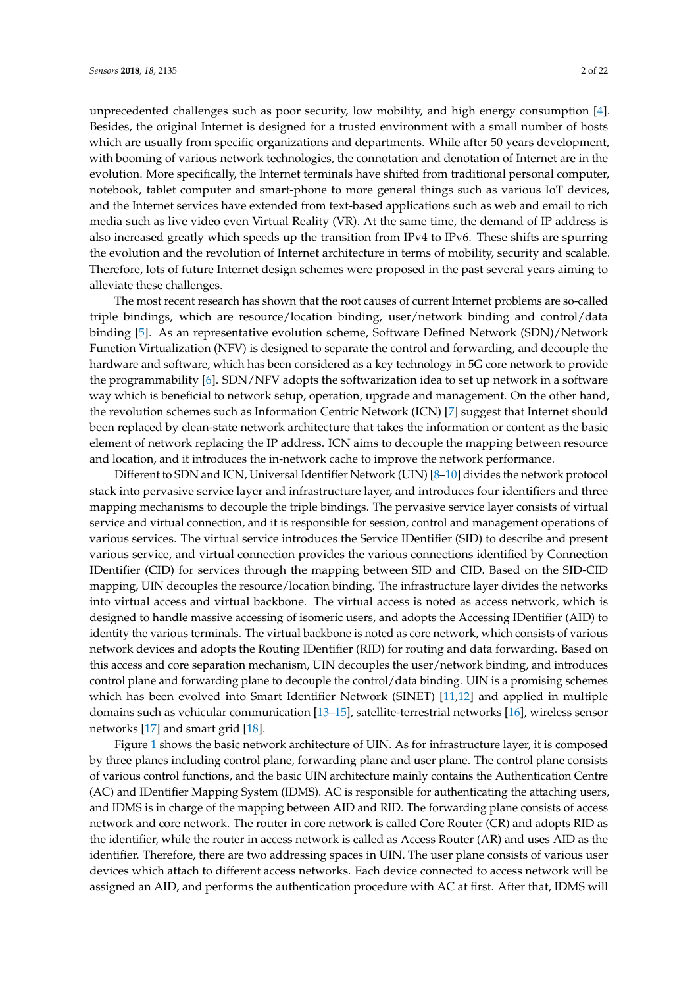unprecedented challenges such as poor security, low mobility, and high energy consumption [\[4\]](#page-18-1). Besides, the original Internet is designed for a trusted environment with a small number of hosts which are usually from specific organizations and departments. While after 50 years development, with booming of various network technologies, the connotation and denotation of Internet are in the evolution. More specifically, the Internet terminals have shifted from traditional personal computer, notebook, tablet computer and smart-phone to more general things such as various IoT devices, and the Internet services have extended from text-based applications such as web and email to rich media such as live video even Virtual Reality (VR). At the same time, the demand of IP address is also increased greatly which speeds up the transition from IPv4 to IPv6. These shifts are spurring the evolution and the revolution of Internet architecture in terms of mobility, security and scalable. Therefore, lots of future Internet design schemes were proposed in the past several years aiming to alleviate these challenges.

The most recent research has shown that the root causes of current Internet problems are so-called triple bindings, which are resource/location binding, user/network binding and control/data binding [\[5\]](#page-18-2). As an representative evolution scheme, Software Defined Network (SDN)/Network Function Virtualization (NFV) is designed to separate the control and forwarding, and decouple the hardware and software, which has been considered as a key technology in 5G core network to provide the programmability [\[6\]](#page-18-3). SDN/NFV adopts the softwarization idea to set up network in a software way which is beneficial to network setup, operation, upgrade and management. On the other hand, the revolution schemes such as Information Centric Network (ICN) [\[7\]](#page-18-4) suggest that Internet should been replaced by clean-state network architecture that takes the information or content as the basic element of network replacing the IP address. ICN aims to decouple the mapping between resource and location, and it introduces the in-network cache to improve the network performance.

Different to SDN and ICN, Universal Identifier Network (UIN) [\[8](#page-18-5)[–10\]](#page-18-6) divides the network protocol stack into pervasive service layer and infrastructure layer, and introduces four identifiers and three mapping mechanisms to decouple the triple bindings. The pervasive service layer consists of virtual service and virtual connection, and it is responsible for session, control and management operations of various services. The virtual service introduces the Service IDentifier (SID) to describe and present various service, and virtual connection provides the various connections identified by Connection IDentifier (CID) for services through the mapping between SID and CID. Based on the SID-CID mapping, UIN decouples the resource/location binding. The infrastructure layer divides the networks into virtual access and virtual backbone. The virtual access is noted as access network, which is designed to handle massive accessing of isomeric users, and adopts the Accessing IDentifier (AID) to identity the various terminals. The virtual backbone is noted as core network, which consists of various network devices and adopts the Routing IDentifier (RID) for routing and data forwarding. Based on this access and core separation mechanism, UIN decouples the user/network binding, and introduces control plane and forwarding plane to decouple the control/data binding. UIN is a promising schemes which has been evolved into Smart Identifier Network (SINET) [\[11](#page-18-7)[,12\]](#page-18-8) and applied in multiple domains such as vehicular communication [\[13–](#page-18-9)[15\]](#page-18-10), satellite-terrestrial networks [\[16\]](#page-18-11), wireless sensor networks [\[17\]](#page-18-12) and smart grid [\[18\]](#page-18-13).

Figure [1](#page-2-0) shows the basic network architecture of UIN. As for infrastructure layer, it is composed by three planes including control plane, forwarding plane and user plane. The control plane consists of various control functions, and the basic UIN architecture mainly contains the Authentication Centre (AC) and IDentifier Mapping System (IDMS). AC is responsible for authenticating the attaching users, and IDMS is in charge of the mapping between AID and RID. The forwarding plane consists of access network and core network. The router in core network is called Core Router (CR) and adopts RID as the identifier, while the router in access network is called as Access Router (AR) and uses AID as the identifier. Therefore, there are two addressing spaces in UIN. The user plane consists of various user devices which attach to different access networks. Each device connected to access network will be assigned an AID, and performs the authentication procedure with AC at first. After that, IDMS will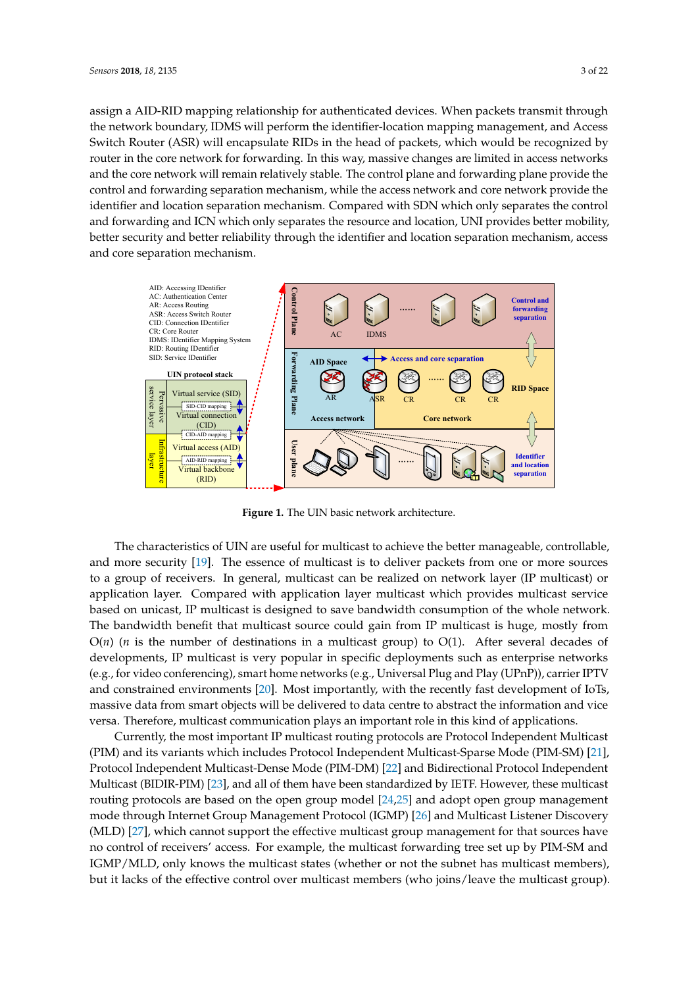assign a AID-RID mapping relationship for authenticated devices. When packets transmit through the network boundary, IDMS will perform the identifier-location mapping management, and Access Switch Router (ASR) will encapsulate RIDs in the head of packets, which would be recognized by router in the core network for forwarding. In this way, massive changes are limited in access networks and the core network will remain relatively stable. The control plane and forwarding plane provide the control and forwarding separation mechanism, while the access network and core network provide the identifier and location separation mechanism. Compared with SDN which only separates the control and forwarding and ICN which only separates the resource and location, UNI provides better mobility, better security and better reliability through the identifier and location separation mechanism, access and core separation mechanism.

<span id="page-2-0"></span>

**Figure 1.** The UIN basic network architecture.

The characteristics of UIN are useful for multicast to achieve the better manageable, controllable, and more security [\[19\]](#page-18-14). The essence of multicast is to deliver packets from one or more sources to a group of receivers. In general, multicast can be realized on network layer (IP multicast) or application layer. Compared with application layer multicast which provides multicast service based on unicast, IP multicast is designed to save bandwidth consumption of the whole network. The bandwidth benefit that multicast source could gain from IP multicast is huge, mostly from  $O(n)$  (*n* is the number of destinations in a multicast group) to  $O(1)$ . After several decades of developments, IP multicast is very popular in specific deployments such as enterprise networks (e.g., for video conferencing), smart home networks (e.g., Universal Plug and Play (UPnP)), carrier IPTV and constrained environments [\[20\]](#page-18-15). Most importantly, with the recently fast development of IoTs, massive data from smart objects will be delivered to data centre to abstract the information and vice versa. Therefore, multicast communication plays an important role in this kind of applications.

Currently, the most important IP multicast routing protocols are Protocol Independent Multicast (PIM) and its variants which includes Protocol Independent Multicast-Sparse Mode (PIM-SM) [\[21\]](#page-18-16), Protocol Independent Multicast-Dense Mode (PIM-DM) [\[22\]](#page-18-17) and Bidirectional Protocol Independent Multicast (BIDIR-PIM) [\[23\]](#page-18-18), and all of them have been standardized by IETF. However, these multicast routing protocols are based on the open group model [\[24](#page-18-19)[,25\]](#page-18-20) and adopt open group management mode through Internet Group Management Protocol (IGMP) [\[26\]](#page-19-0) and Multicast Listener Discovery (MLD) [\[27\]](#page-19-1), which cannot support the effective multicast group management for that sources have no control of receivers' access. For example, the multicast forwarding tree set up by PIM-SM and IGMP/MLD, only knows the multicast states (whether or not the subnet has multicast members), but it lacks of the effective control over multicast members (who joins/leave the multicast group).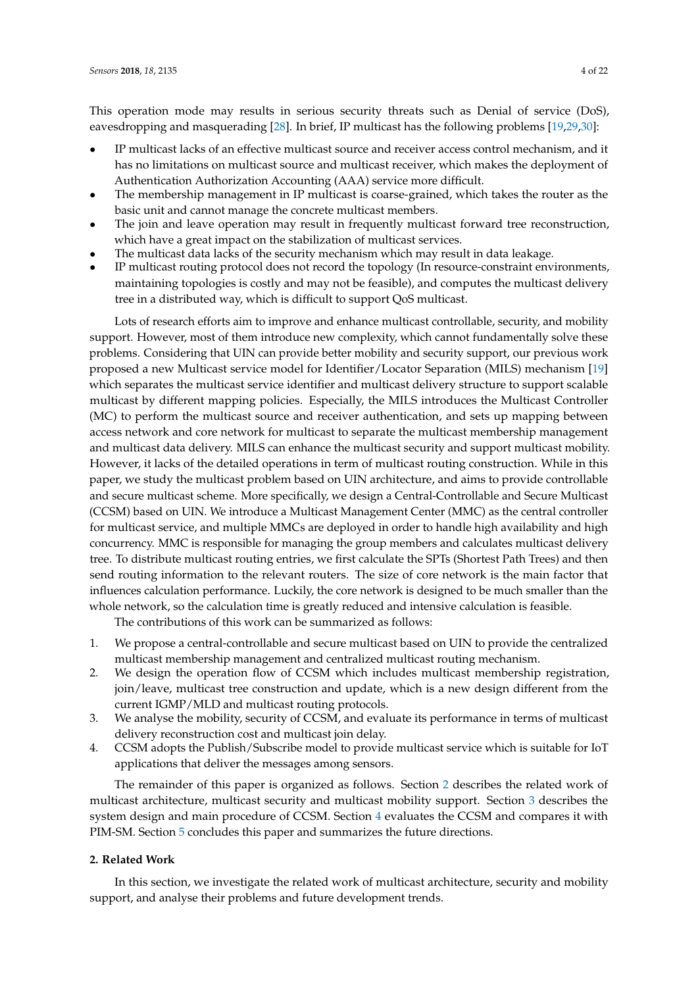This operation mode may results in serious security threats such as Denial of service (DoS), eavesdropping and masquerading [\[28\]](#page-19-2). In brief, IP multicast has the following problems [\[19,](#page-18-14)[29,](#page-19-3)[30\]](#page-19-4):

- IP multicast lacks of an effective multicast source and receiver access control mechanism, and it has no limitations on multicast source and multicast receiver, which makes the deployment of Authentication Authorization Accounting (AAA) service more difficult.
- The membership management in IP multicast is coarse-grained, which takes the router as the basic unit and cannot manage the concrete multicast members.
- The join and leave operation may result in frequently multicast forward tree reconstruction, which have a great impact on the stabilization of multicast services.
- The multicast data lacks of the security mechanism which may result in data leakage.
- IP multicast routing protocol does not record the topology (In resource-constraint environments, maintaining topologies is costly and may not be feasible), and computes the multicast delivery tree in a distributed way, which is difficult to support QoS multicast.

Lots of research efforts aim to improve and enhance multicast controllable, security, and mobility support. However, most of them introduce new complexity, which cannot fundamentally solve these problems. Considering that UIN can provide better mobility and security support, our previous work proposed a new Multicast service model for Identifier/Locator Separation (MILS) mechanism [\[19\]](#page-18-14) which separates the multicast service identifier and multicast delivery structure to support scalable multicast by different mapping policies. Especially, the MILS introduces the Multicast Controller (MC) to perform the multicast source and receiver authentication, and sets up mapping between access network and core network for multicast to separate the multicast membership management and multicast data delivery. MILS can enhance the multicast security and support multicast mobility. However, it lacks of the detailed operations in term of multicast routing construction. While in this paper, we study the multicast problem based on UIN architecture, and aims to provide controllable and secure multicast scheme. More specifically, we design a Central-Controllable and Secure Multicast (CCSM) based on UIN. We introduce a Multicast Management Center (MMC) as the central controller for multicast service, and multiple MMCs are deployed in order to handle high availability and high concurrency. MMC is responsible for managing the group members and calculates multicast delivery tree. To distribute multicast routing entries, we first calculate the SPTs (Shortest Path Trees) and then send routing information to the relevant routers. The size of core network is the main factor that influences calculation performance. Luckily, the core network is designed to be much smaller than the whole network, so the calculation time is greatly reduced and intensive calculation is feasible.

The contributions of this work can be summarized as follows:

- 1. We propose a central-controllable and secure multicast based on UIN to provide the centralized multicast membership management and centralized multicast routing mechanism.
- 2. We design the operation flow of CCSM which includes multicast membership registration, join/leave, multicast tree construction and update, which is a new design different from the current IGMP/MLD and multicast routing protocols.
- 3. We analyse the mobility, security of CCSM, and evaluate its performance in terms of multicast delivery reconstruction cost and multicast join delay.
- 4. CCSM adopts the Publish/Subscribe model to provide multicast service which is suitable for IoT applications that deliver the messages among sensors.

The remainder of this paper is organized as follows. Section [2](#page-3-0) describes the related work of multicast architecture, multicast security and multicast mobility support. Section [3](#page-7-0) describes the system design and main procedure of CCSM. Section [4](#page-15-0) evaluates the CCSM and compares it with PIM-SM. Section [5](#page-17-2) concludes this paper and summarizes the future directions.

#### <span id="page-3-0"></span>**2. Related Work**

In this section, we investigate the related work of multicast architecture, security and mobility support, and analyse their problems and future development trends.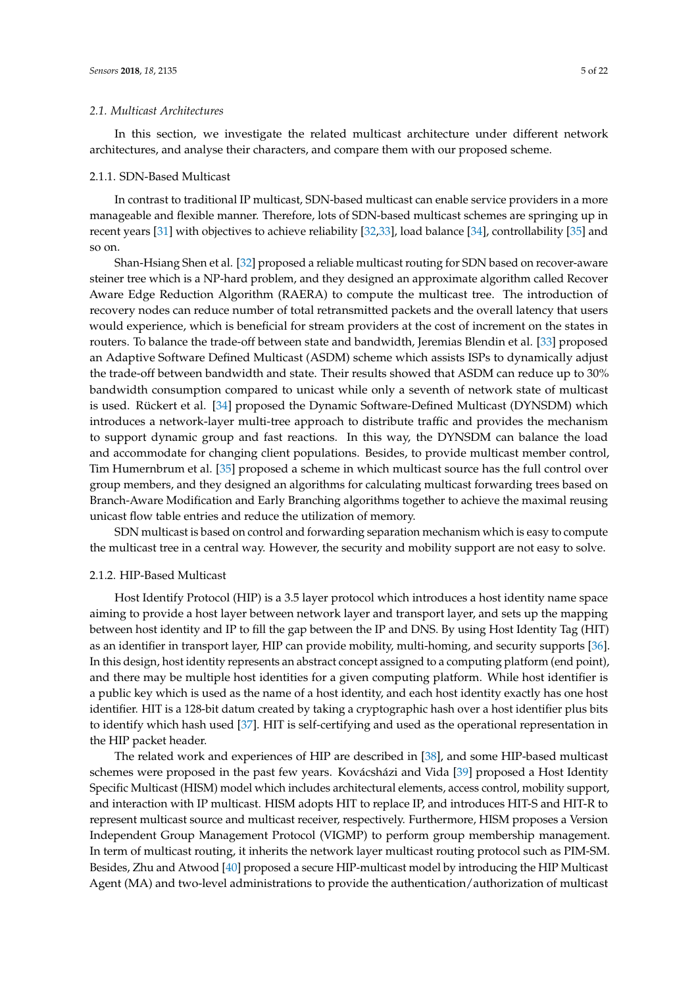#### *2.1. Multicast Architectures*

In this section, we investigate the related multicast architecture under different network architectures, and analyse their characters, and compare them with our proposed scheme.

#### 2.1.1. SDN-Based Multicast

In contrast to traditional IP multicast, SDN-based multicast can enable service providers in a more manageable and flexible manner. Therefore, lots of SDN-based multicast schemes are springing up in recent years [\[31\]](#page-19-5) with objectives to achieve reliability [\[32](#page-19-6)[,33\]](#page-19-7), load balance [\[34\]](#page-19-8), controllability [\[35\]](#page-19-9) and so on.

Shan-Hsiang Shen et al. [\[32\]](#page-19-6) proposed a reliable multicast routing for SDN based on recover-aware steiner tree which is a NP-hard problem, and they designed an approximate algorithm called Recover Aware Edge Reduction Algorithm (RAERA) to compute the multicast tree. The introduction of recovery nodes can reduce number of total retransmitted packets and the overall latency that users would experience, which is beneficial for stream providers at the cost of increment on the states in routers. To balance the trade-off between state and bandwidth, Jeremias Blendin et al. [\[33\]](#page-19-7) proposed an Adaptive Software Defined Multicast (ASDM) scheme which assists ISPs to dynamically adjust the trade-off between bandwidth and state. Their results showed that ASDM can reduce up to 30% bandwidth consumption compared to unicast while only a seventh of network state of multicast is used. Rückert et al. [\[34\]](#page-19-8) proposed the Dynamic Software-Defined Multicast (DYNSDM) which introduces a network-layer multi-tree approach to distribute traffic and provides the mechanism to support dynamic group and fast reactions. In this way, the DYNSDM can balance the load and accommodate for changing client populations. Besides, to provide multicast member control, Tim Humernbrum et al. [\[35\]](#page-19-9) proposed a scheme in which multicast source has the full control over group members, and they designed an algorithms for calculating multicast forwarding trees based on Branch-Aware Modification and Early Branching algorithms together to achieve the maximal reusing unicast flow table entries and reduce the utilization of memory.

SDN multicast is based on control and forwarding separation mechanism which is easy to compute the multicast tree in a central way. However, the security and mobility support are not easy to solve.

#### 2.1.2. HIP-Based Multicast

Host Identify Protocol (HIP) is a 3.5 layer protocol which introduces a host identity name space aiming to provide a host layer between network layer and transport layer, and sets up the mapping between host identity and IP to fill the gap between the IP and DNS. By using Host Identity Tag (HIT) as an identifier in transport layer, HIP can provide mobility, multi-homing, and security supports [\[36\]](#page-19-10). In this design, host identity represents an abstract concept assigned to a computing platform (end point), and there may be multiple host identities for a given computing platform. While host identifier is a public key which is used as the name of a host identity, and each host identity exactly has one host identifier. HIT is a 128-bit datum created by taking a cryptographic hash over a host identifier plus bits to identify which hash used [\[37\]](#page-19-11). HIT is self-certifying and used as the operational representation in the HIP packet header.

The related work and experiences of HIP are described in [\[38\]](#page-19-12), and some HIP-based multicast schemes were proposed in the past few years. Kovácsházi and Vida [\[39\]](#page-19-13) proposed a Host Identity Specific Multicast (HISM) model which includes architectural elements, access control, mobility support, and interaction with IP multicast. HISM adopts HIT to replace IP, and introduces HIT-S and HIT-R to represent multicast source and multicast receiver, respectively. Furthermore, HISM proposes a Version Independent Group Management Protocol (VIGMP) to perform group membership management. In term of multicast routing, it inherits the network layer multicast routing protocol such as PIM-SM. Besides, Zhu and Atwood [\[40\]](#page-19-14) proposed a secure HIP-multicast model by introducing the HIP Multicast Agent (MA) and two-level administrations to provide the authentication/authorization of multicast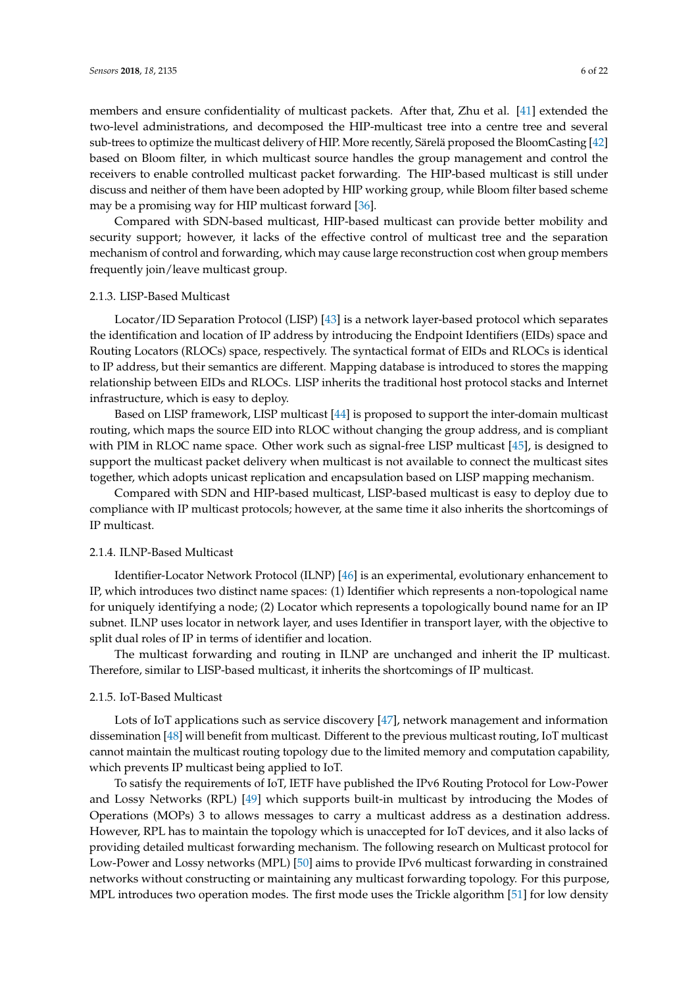members and ensure confidentiality of multicast packets. After that, Zhu et al. [\[41\]](#page-19-15) extended the two-level administrations, and decomposed the HIP-multicast tree into a centre tree and several sub-trees to optimize the multicast delivery of HIP. More recently, Särelä proposed the BloomCasting [\[42\]](#page-19-16) based on Bloom filter, in which multicast source handles the group management and control the receivers to enable controlled multicast packet forwarding. The HIP-based multicast is still under discuss and neither of them have been adopted by HIP working group, while Bloom filter based scheme may be a promising way for HIP multicast forward [\[36\]](#page-19-10).

Compared with SDN-based multicast, HIP-based multicast can provide better mobility and security support; however, it lacks of the effective control of multicast tree and the separation mechanism of control and forwarding, which may cause large reconstruction cost when group members frequently join/leave multicast group.

#### 2.1.3. LISP-Based Multicast

Locator/ID Separation Protocol (LISP) [\[43\]](#page-19-17) is a network layer-based protocol which separates the identification and location of IP address by introducing the Endpoint Identifiers (EIDs) space and Routing Locators (RLOCs) space, respectively. The syntactical format of EIDs and RLOCs is identical to IP address, but their semantics are different. Mapping database is introduced to stores the mapping relationship between EIDs and RLOCs. LISP inherits the traditional host protocol stacks and Internet infrastructure, which is easy to deploy.

Based on LISP framework, LISP multicast [\[44\]](#page-19-18) is proposed to support the inter-domain multicast routing, which maps the source EID into RLOC without changing the group address, and is compliant with PIM in RLOC name space. Other work such as signal-free LISP multicast [\[45\]](#page-19-19), is designed to support the multicast packet delivery when multicast is not available to connect the multicast sites together, which adopts unicast replication and encapsulation based on LISP mapping mechanism.

Compared with SDN and HIP-based multicast, LISP-based multicast is easy to deploy due to compliance with IP multicast protocols; however, at the same time it also inherits the shortcomings of IP multicast.

#### 2.1.4. ILNP-Based Multicast

Identifier-Locator Network Protocol (ILNP) [\[46\]](#page-19-20) is an experimental, evolutionary enhancement to IP, which introduces two distinct name spaces: (1) Identifier which represents a non-topological name for uniquely identifying a node; (2) Locator which represents a topologically bound name for an IP subnet. ILNP uses locator in network layer, and uses Identifier in transport layer, with the objective to split dual roles of IP in terms of identifier and location.

The multicast forwarding and routing in ILNP are unchanged and inherit the IP multicast. Therefore, similar to LISP-based multicast, it inherits the shortcomings of IP multicast.

#### 2.1.5. IoT-Based Multicast

Lots of IoT applications such as service discovery [\[47\]](#page-20-0), network management and information dissemination [\[48\]](#page-20-1) will benefit from multicast. Different to the previous multicast routing, IoT multicast cannot maintain the multicast routing topology due to the limited memory and computation capability, which prevents IP multicast being applied to IoT.

To satisfy the requirements of IoT, IETF have published the IPv6 Routing Protocol for Low-Power and Lossy Networks (RPL) [\[49\]](#page-20-2) which supports built-in multicast by introducing the Modes of Operations (MOPs) 3 to allows messages to carry a multicast address as a destination address. However, RPL has to maintain the topology which is unaccepted for IoT devices, and it also lacks of providing detailed multicast forwarding mechanism. The following research on Multicast protocol for Low-Power and Lossy networks (MPL) [\[50\]](#page-20-3) aims to provide IPv6 multicast forwarding in constrained networks without constructing or maintaining any multicast forwarding topology. For this purpose, MPL introduces two operation modes. The first mode uses the Trickle algorithm [\[51\]](#page-20-4) for low density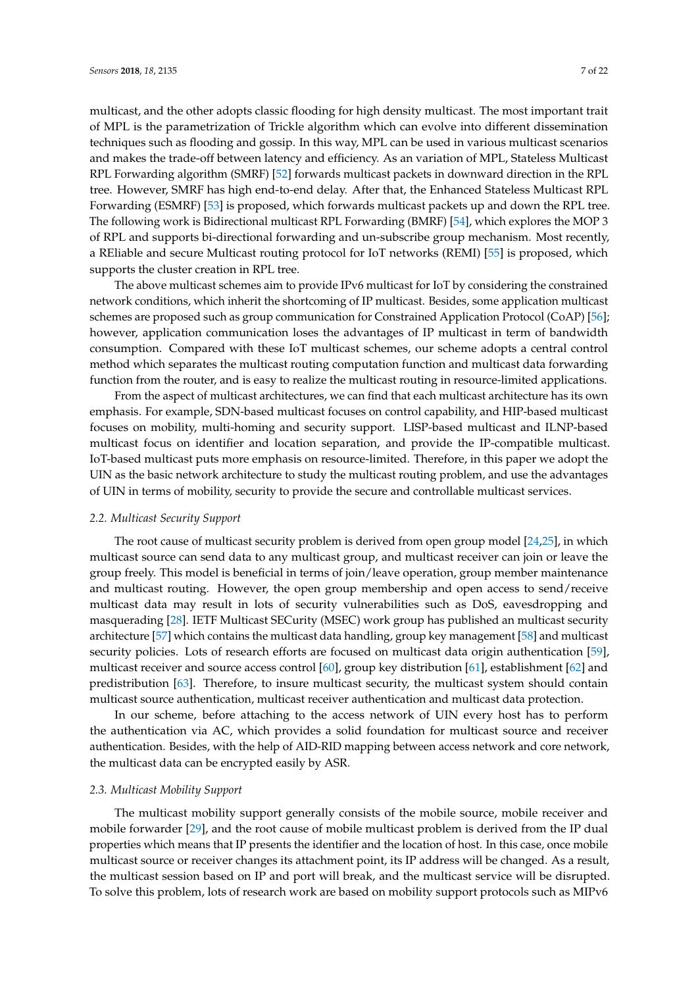multicast, and the other adopts classic flooding for high density multicast. The most important trait of MPL is the parametrization of Trickle algorithm which can evolve into different dissemination techniques such as flooding and gossip. In this way, MPL can be used in various multicast scenarios and makes the trade-off between latency and efficiency. As an variation of MPL, Stateless Multicast RPL Forwarding algorithm (SMRF) [\[52\]](#page-20-5) forwards multicast packets in downward direction in the RPL tree. However, SMRF has high end-to-end delay. After that, the Enhanced Stateless Multicast RPL Forwarding (ESMRF) [\[53\]](#page-20-6) is proposed, which forwards multicast packets up and down the RPL tree. The following work is Bidirectional multicast RPL Forwarding (BMRF) [\[54\]](#page-20-7), which explores the MOP 3 of RPL and supports bi-directional forwarding and un-subscribe group mechanism. Most recently, a REliable and secure Multicast routing protocol for IoT networks (REMI) [\[55\]](#page-20-8) is proposed, which supports the cluster creation in RPL tree.

The above multicast schemes aim to provide IPv6 multicast for IoT by considering the constrained network conditions, which inherit the shortcoming of IP multicast. Besides, some application multicast schemes are proposed such as group communication for Constrained Application Protocol (CoAP) [\[56\]](#page-20-9); however, application communication loses the advantages of IP multicast in term of bandwidth consumption. Compared with these IoT multicast schemes, our scheme adopts a central control method which separates the multicast routing computation function and multicast data forwarding function from the router, and is easy to realize the multicast routing in resource-limited applications.

From the aspect of multicast architectures, we can find that each multicast architecture has its own emphasis. For example, SDN-based multicast focuses on control capability, and HIP-based multicast focuses on mobility, multi-homing and security support. LISP-based multicast and ILNP-based multicast focus on identifier and location separation, and provide the IP-compatible multicast. IoT-based multicast puts more emphasis on resource-limited. Therefore, in this paper we adopt the UIN as the basic network architecture to study the multicast routing problem, and use the advantages of UIN in terms of mobility, security to provide the secure and controllable multicast services.

#### *2.2. Multicast Security Support*

The root cause of multicast security problem is derived from open group model [\[24,](#page-18-19)[25\]](#page-18-20), in which multicast source can send data to any multicast group, and multicast receiver can join or leave the group freely. This model is beneficial in terms of join/leave operation, group member maintenance and multicast routing. However, the open group membership and open access to send/receive multicast data may result in lots of security vulnerabilities such as DoS, eavesdropping and masquerading [\[28\]](#page-19-2). IETF Multicast SECurity (MSEC) work group has published an multicast security architecture [\[57\]](#page-20-10) which contains the multicast data handling, group key management [\[58\]](#page-20-11) and multicast security policies. Lots of research efforts are focused on multicast data origin authentication [\[59\]](#page-20-12), multicast receiver and source access control [\[60\]](#page-20-13), group key distribution [\[61\]](#page-20-14), establishment [\[62\]](#page-20-15) and predistribution [\[63\]](#page-20-16). Therefore, to insure multicast security, the multicast system should contain multicast source authentication, multicast receiver authentication and multicast data protection.

In our scheme, before attaching to the access network of UIN every host has to perform the authentication via AC, which provides a solid foundation for multicast source and receiver authentication. Besides, with the help of AID-RID mapping between access network and core network, the multicast data can be encrypted easily by ASR.

#### *2.3. Multicast Mobility Support*

The multicast mobility support generally consists of the mobile source, mobile receiver and mobile forwarder [\[29\]](#page-19-3), and the root cause of mobile multicast problem is derived from the IP dual properties which means that IP presents the identifier and the location of host. In this case, once mobile multicast source or receiver changes its attachment point, its IP address will be changed. As a result, the multicast session based on IP and port will break, and the multicast service will be disrupted. To solve this problem, lots of research work are based on mobility support protocols such as MIPv6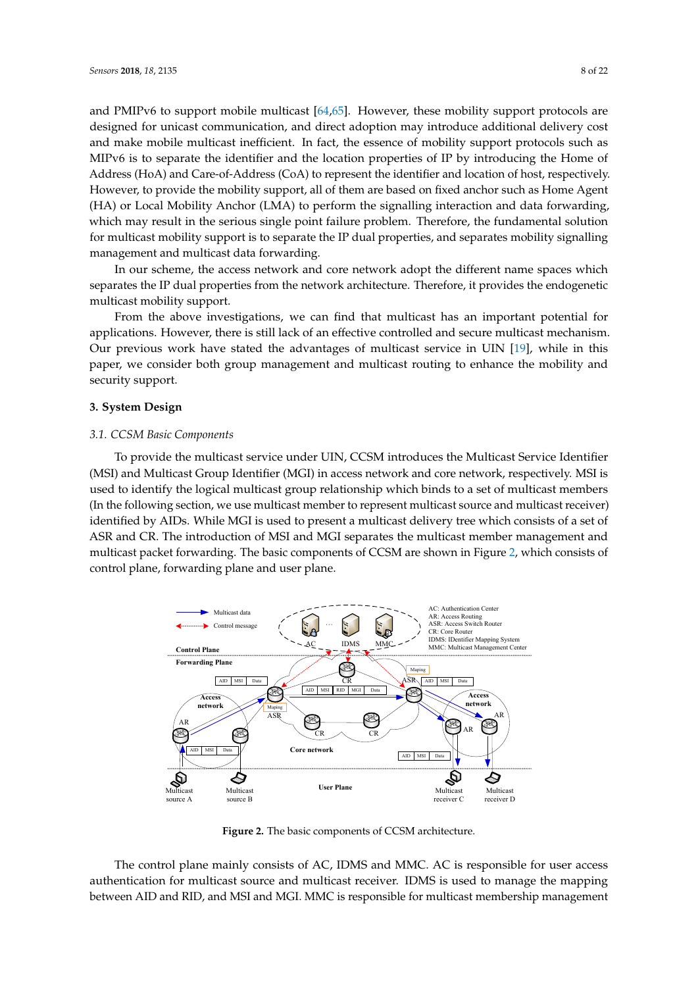and PMIPv6 to support mobile multicast [\[64](#page-20-17)[,65\]](#page-20-18). However, these mobility support protocols are designed for unicast communication, and direct adoption may introduce additional delivery cost and make mobile multicast inefficient. In fact, the essence of mobility support protocols such as MIPv6 is to separate the identifier and the location properties of IP by introducing the Home of Address (HoA) and Care-of-Address (CoA) to represent the identifier and location of host, respectively. However, to provide the mobility support, all of them are based on fixed anchor such as Home Agent (HA) or Local Mobility Anchor (LMA) to perform the signalling interaction and data forwarding, which may result in the serious single point failure problem. Therefore, the fundamental solution for multicast mobility support is to separate the IP dual properties, and separates mobility signalling management and multicast data forwarding.

In our scheme, the access network and core network adopt the different name spaces which separates the IP dual properties from the network architecture. Therefore, it provides the endogenetic multicast mobility support.

From the above investigations, we can find that multicast has an important potential for applications. However, there is still lack of an effective controlled and secure multicast mechanism. Our previous work have stated the advantages of multicast service in UIN [\[19\]](#page-18-14), while in this paper, we consider both group management and multicast routing to enhance the mobility and security support.

#### <span id="page-7-0"></span>**3. System Design**

#### *3.1. CCSM Basic Components*

To provide the multicast service under UIN, CCSM introduces the Multicast Service Identifier (MSI) and Multicast Group Identifier (MGI) in access network and core network, respectively. MSI is used to identify the logical multicast group relationship which binds to a set of multicast members (In the following section, we use multicast member to represent multicast source and multicast receiver) identified by AIDs. While MGI is used to present a multicast delivery tree which consists of a set of ASR and CR. The introduction of MSI and MGI separates the multicast member management and multicast packet forwarding. The basic components of CCSM are shown in Figure [2,](#page-7-1) which consists of control plane, forwarding plane and user plane.

<span id="page-7-1"></span>

**Figure 2.** The basic components of CCSM architecture.

The control plane mainly consists of AC, IDMS and MMC. AC is responsible for user access authentication for multicast source and multicast receiver. IDMS is used to manage the mapping between AID and RID, and MSI and MGI. MMC is responsible for multicast membership management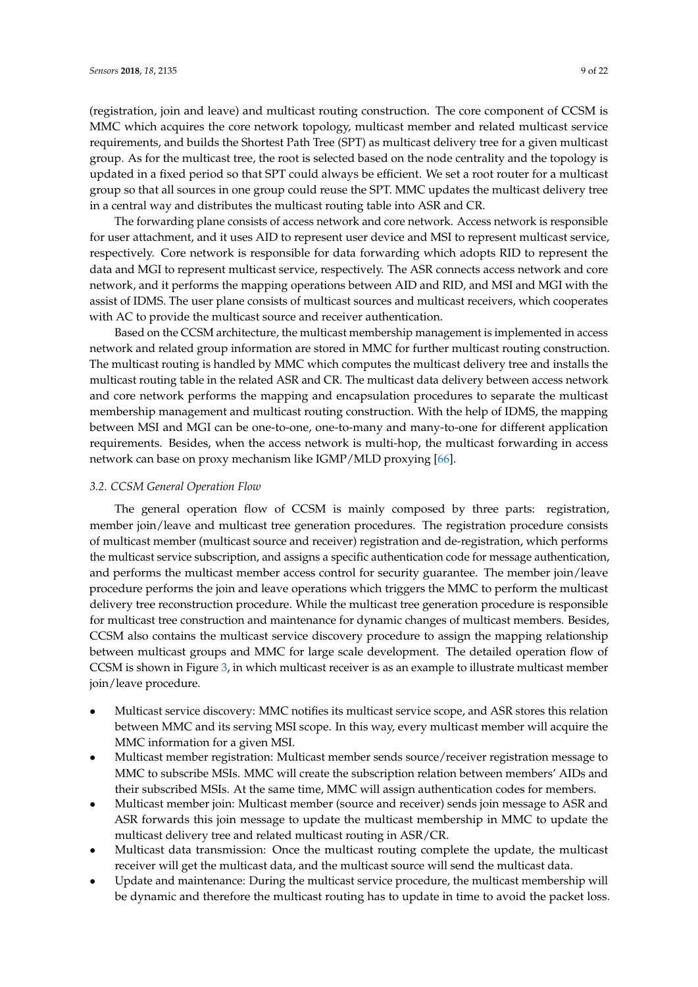(registration, join and leave) and multicast routing construction. The core component of CCSM is MMC which acquires the core network topology, multicast member and related multicast service requirements, and builds the Shortest Path Tree (SPT) as multicast delivery tree for a given multicast group. As for the multicast tree, the root is selected based on the node centrality and the topology is updated in a fixed period so that SPT could always be efficient. We set a root router for a multicast group so that all sources in one group could reuse the SPT. MMC updates the multicast delivery tree in a central way and distributes the multicast routing table into ASR and CR.

The forwarding plane consists of access network and core network. Access network is responsible for user attachment, and it uses AID to represent user device and MSI to represent multicast service, respectively. Core network is responsible for data forwarding which adopts RID to represent the data and MGI to represent multicast service, respectively. The ASR connects access network and core network, and it performs the mapping operations between AID and RID, and MSI and MGI with the assist of IDMS. The user plane consists of multicast sources and multicast receivers, which cooperates with AC to provide the multicast source and receiver authentication.

Based on the CCSM architecture, the multicast membership management is implemented in access network and related group information are stored in MMC for further multicast routing construction. The multicast routing is handled by MMC which computes the multicast delivery tree and installs the multicast routing table in the related ASR and CR. The multicast data delivery between access network and core network performs the mapping and encapsulation procedures to separate the multicast membership management and multicast routing construction. With the help of IDMS, the mapping between MSI and MGI can be one-to-one, one-to-many and many-to-one for different application requirements. Besides, when the access network is multi-hop, the multicast forwarding in access network can base on proxy mechanism like IGMP/MLD proxying [\[66\]](#page-20-19).

#### *3.2. CCSM General Operation Flow*

The general operation flow of CCSM is mainly composed by three parts: registration, member join/leave and multicast tree generation procedures. The registration procedure consists of multicast member (multicast source and receiver) registration and de-registration, which performs the multicast service subscription, and assigns a specific authentication code for message authentication, and performs the multicast member access control for security guarantee. The member join/leave procedure performs the join and leave operations which triggers the MMC to perform the multicast delivery tree reconstruction procedure. While the multicast tree generation procedure is responsible for multicast tree construction and maintenance for dynamic changes of multicast members. Besides, CCSM also contains the multicast service discovery procedure to assign the mapping relationship between multicast groups and MMC for large scale development. The detailed operation flow of CCSM is shown in Figure [3,](#page-9-0) in which multicast receiver is as an example to illustrate multicast member join/leave procedure.

- Multicast service discovery: MMC notifies its multicast service scope, and ASR stores this relation between MMC and its serving MSI scope. In this way, every multicast member will acquire the MMC information for a given MSI.
- Multicast member registration: Multicast member sends source/receiver registration message to MMC to subscribe MSIs. MMC will create the subscription relation between members' AIDs and their subscribed MSIs. At the same time, MMC will assign authentication codes for members.
- Multicast member join: Multicast member (source and receiver) sends join message to ASR and ASR forwards this join message to update the multicast membership in MMC to update the multicast delivery tree and related multicast routing in ASR/CR.
- Multicast data transmission: Once the multicast routing complete the update, the multicast receiver will get the multicast data, and the multicast source will send the multicast data.
- Update and maintenance: During the multicast service procedure, the multicast membership will be dynamic and therefore the multicast routing has to update in time to avoid the packet loss.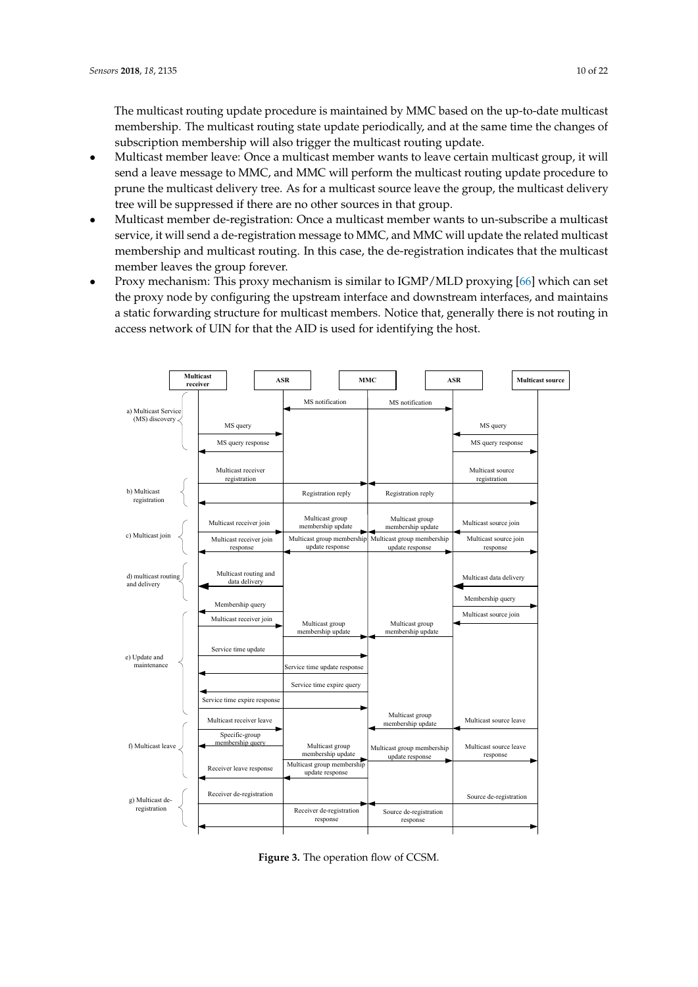The multicast routing update procedure is maintained by MMC based on the up-to-date multicast membership. The multicast routing state update periodically, and at the same time the changes of subscription membership will also trigger the multicast routing update.

- Multicast member leave: Once a multicast member wants to leave certain multicast group, it will send a leave message to MMC, and MMC will perform the multicast routing update procedure to prune the multicast delivery tree. As for a multicast source leave the group, the multicast delivery tree will be suppressed if there are no other sources in that group.
- Multicast member de-registration: Once a multicast member wants to un-subscribe a multicast service, it will send a de-registration message to MMC, and MMC will update the related multicast membership and multicast routing. In this case, the de-registration indicates that the multicast member leaves the group forever.
- Proxy mechanism: This proxy mechanism is similar to IGMP/MLD proxying [\[66\]](#page-20-19) which can set the proxy node by configuring the upstream interface and downstream interfaces, and maintains a static forwarding structure for multicast members. Notice that, generally there is not routing in access network of UIN for that the AID is used for identifying the host.

<span id="page-9-0"></span>

**Figure 3.** The operation flow of CCSM.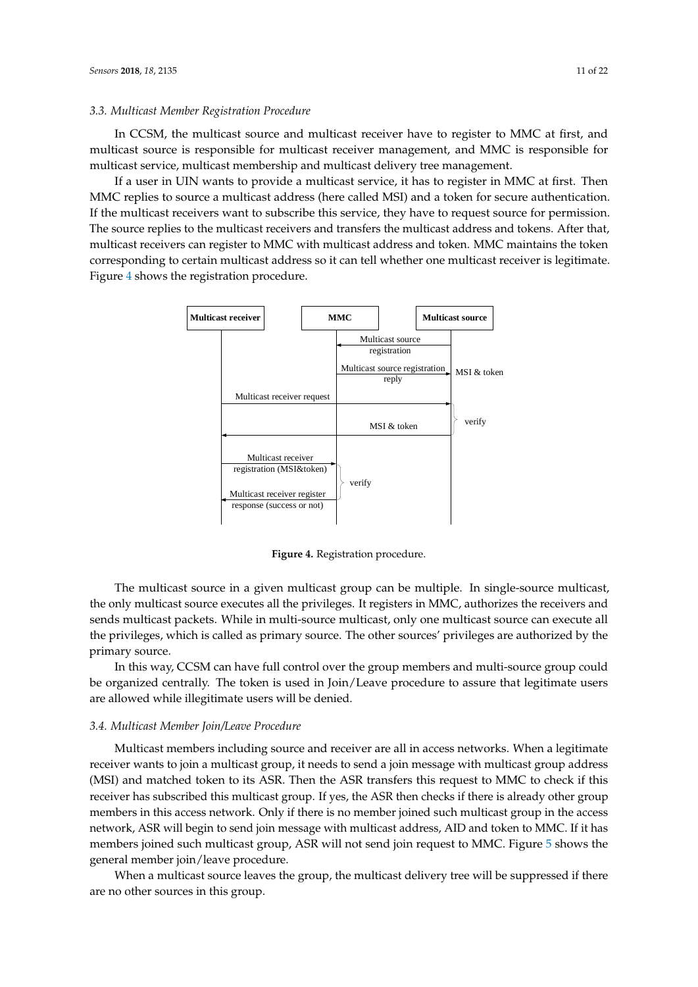#### *3.3. Multicast Member Registration Procedure*

In CCSM, the multicast source and multicast receiver have to register to MMC at first, and multicast source is responsible for multicast receiver management, and MMC is responsible for multicast service, multicast membership and multicast delivery tree management.

If a user in UIN wants to provide a multicast service, it has to register in MMC at first. Then MMC replies to source a multicast address (here called MSI) and a token for secure authentication. If the multicast receivers want to subscribe this service, they have to request source for permission. The source replies to the multicast receivers and transfers the multicast address and tokens. After that, multicast receivers can register to MMC with multicast address and token. MMC maintains the token corresponding to certain multicast address so it can tell whether one multicast receiver is legitimate. Figure [4](#page-10-0) shows the registration procedure.

<span id="page-10-0"></span>

**Figure 4.** Registration procedure.

The multicast source in a given multicast group can be multiple. In single-source multicast, the only multicast source executes all the privileges. It registers in MMC, authorizes the receivers and sends multicast packets. While in multi-source multicast, only one multicast source can execute all the privileges, which is called as primary source. The other sources' privileges are authorized by the primary source.

In this way, CCSM can have full control over the group members and multi-source group could be organized centrally. The token is used in Join/Leave procedure to assure that legitimate users are allowed while illegitimate users will be denied.

#### *3.4. Multicast Member Join/Leave Procedure*

Multicast members including source and receiver are all in access networks. When a legitimate receiver wants to join a multicast group, it needs to send a join message with multicast group address (MSI) and matched token to its ASR. Then the ASR transfers this request to MMC to check if this receiver has subscribed this multicast group. If yes, the ASR then checks if there is already other group members in this access network. Only if there is no member joined such multicast group in the access network, ASR will begin to send join message with multicast address, AID and token to MMC. If it has members joined such multicast group, ASR will not send join request to MMC. Figure [5](#page-11-0) shows the general member join/leave procedure.

When a multicast source leaves the group, the multicast delivery tree will be suppressed if there are no other sources in this group.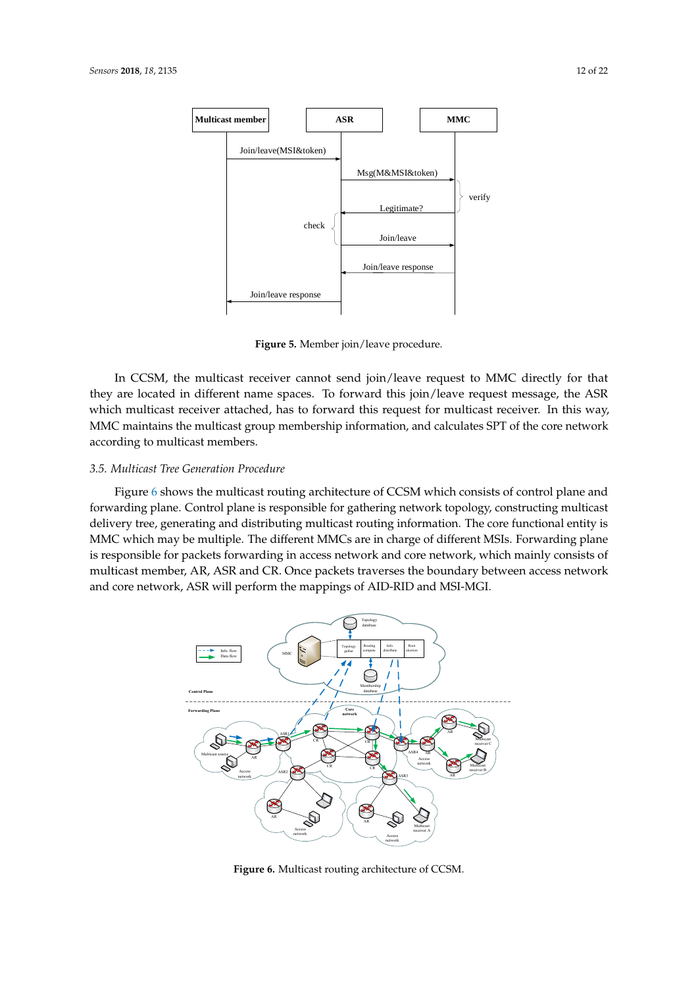<span id="page-11-0"></span>

**Figure 5.** Member join/leave procedure.

In CCSM, the multicast receiver cannot send join/leave request to MMC directly for that they are located in different name spaces. To forward this join/leave request message, the ASR which multicast receiver attached, has to forward this request for multicast receiver. In this way, MMC maintains the multicast group membership information, and calculates SPT of the core network according to multicast members.

## *3.5. Multicast Tree Generation Procedure*

Figure [6](#page-11-1) shows the multicast routing architecture of CCSM which consists of control plane and forwarding plane. Control plane is responsible for gathering network topology, constructing multicast delivery tree, generating and distributing multicast routing information. The core functional entity is MMC which may be multiple. The different MMCs are in charge of different MSIs. Forwarding plane is responsible for packets forwarding in access network and core network, which mainly consists of multicast member, AR, ASR and CR. Once packets traverses the boundary between access network and core network, ASR will perform the mappings of AID-RID and MSI-MGI.

<span id="page-11-1"></span>

**Figure 6.** Multicast routing architecture of CCSM.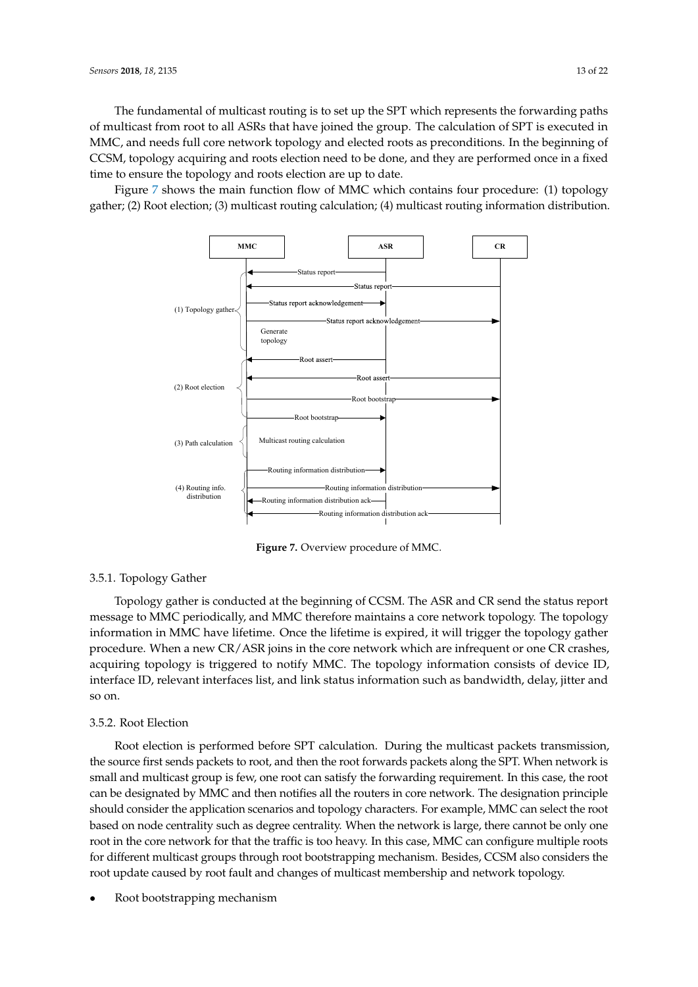The fundamental of multicast routing is to set up the SPT which represents the forwarding paths of multicast from root to all ASRs that have joined the group. The calculation of SPT is executed in MMC, and needs full core network topology and elected roots as preconditions. In the beginning of CCSM, topology acquiring and roots election need to be done, and they are performed once in a fixed time to ensure the topology and roots election are up to date.

<span id="page-12-0"></span>Figure [7](#page-12-0) shows the main function flow of MMC which contains four procedure: (1) topology gather; (2) Root election; (3) multicast routing calculation; (4) multicast routing information distribution.



**Figure 7.** Overview procedure of MMC.

## 3.5.1. Topology Gather

Topology gather is conducted at the beginning of CCSM. The ASR and CR send the status report message to MMC periodically, and MMC therefore maintains a core network topology. The topology information in MMC have lifetime. Once the lifetime is expired, it will trigger the topology gather procedure. When a new CR/ASR joins in the core network which are infrequent or one CR crashes, acquiring topology is triggered to notify MMC. The topology information consists of device ID, interface ID, relevant interfaces list, and link status information such as bandwidth, delay, jitter and so on.

## <span id="page-12-1"></span>3.5.2. Root Election

Root election is performed before SPT calculation. During the multicast packets transmission, the source first sends packets to root, and then the root forwards packets along the SPT. When network is small and multicast group is few, one root can satisfy the forwarding requirement. In this case, the root can be designated by MMC and then notifies all the routers in core network. The designation principle should consider the application scenarios and topology characters. For example, MMC can select the root based on node centrality such as degree centrality. When the network is large, there cannot be only one root in the core network for that the traffic is too heavy. In this case, MMC can configure multiple roots for different multicast groups through root bootstrapping mechanism. Besides, CCSM also considers the root update caused by root fault and changes of multicast membership and network topology.

Root bootstrapping mechanism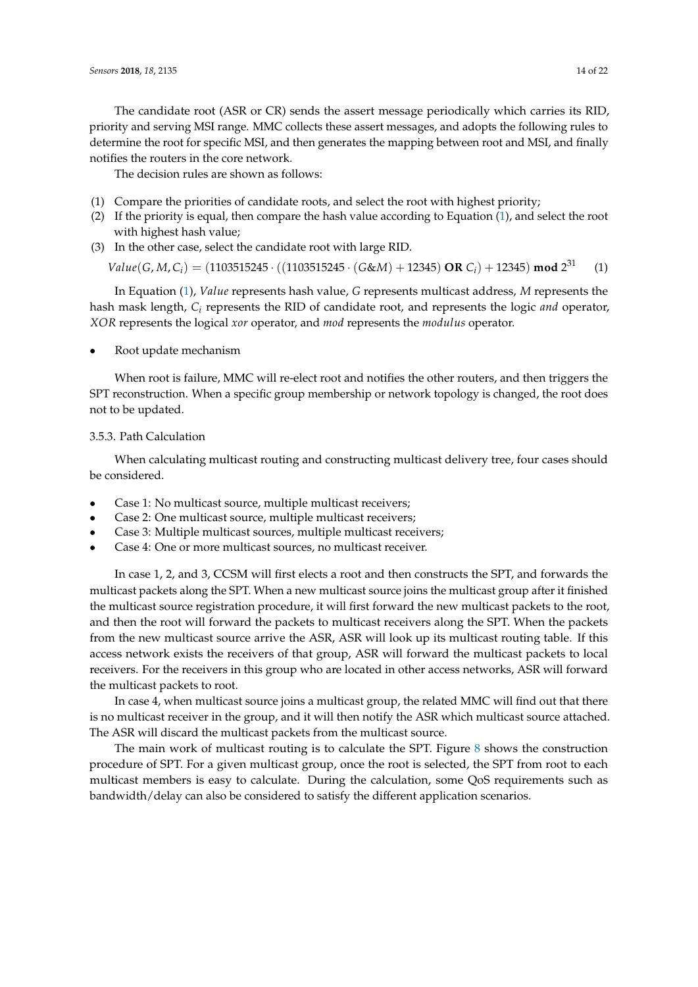The candidate root (ASR or CR) sends the assert message periodically which carries its RID, priority and serving MSI range. MMC collects these assert messages, and adopts the following rules to determine the root for specific MSI, and then generates the mapping between root and MSI, and finally notifies the routers in the core network.

The decision rules are shown as follows:

- (1) Compare the priorities of candidate roots, and select the root with highest priority;
- (2) If the priority is equal, then compare the hash value according to Equation [\(1\)](#page-13-0), and select the root with highest hash value;
- (3) In the other case, select the candidate root with large RID.

<span id="page-13-0"></span> $Value(G, M, C_i) = (1103515245 \cdot ((1103515245 \cdot (G\&M) + 12345) \textbf{ OR } C_i) + 12345) \textbf{ mod } 2^{31}$  $(1)$ 

In Equation [\(1\)](#page-13-0), *Value* represents hash value, *G* represents multicast address, *M* represents the hash mask length, *C<sup>i</sup>* represents the RID of candidate root, and represents the logic *and* operator, *XOR* represents the logical *xor* operator, and *mod* represents the *modulus* operator.

• Root update mechanism

When root is failure, MMC will re-elect root and notifies the other routers, and then triggers the SPT reconstruction. When a specific group membership or network topology is changed, the root does not to be updated.

## 3.5.3. Path Calculation

When calculating multicast routing and constructing multicast delivery tree, four cases should be considered.

- Case 1: No multicast source, multiple multicast receivers;
- Case 2: One multicast source, multiple multicast receivers;
- Case 3: Multiple multicast sources, multiple multicast receivers;
- Case 4: One or more multicast sources, no multicast receiver.

In case 1, 2, and 3, CCSM will first elects a root and then constructs the SPT, and forwards the multicast packets along the SPT. When a new multicast source joins the multicast group after it finished the multicast source registration procedure, it will first forward the new multicast packets to the root, and then the root will forward the packets to multicast receivers along the SPT. When the packets from the new multicast source arrive the ASR, ASR will look up its multicast routing table. If this access network exists the receivers of that group, ASR will forward the multicast packets to local receivers. For the receivers in this group who are located in other access networks, ASR will forward the multicast packets to root.

In case 4, when multicast source joins a multicast group, the related MMC will find out that there is no multicast receiver in the group, and it will then notify the ASR which multicast source attached. The ASR will discard the multicast packets from the multicast source.

The main work of multicast routing is to calculate the SPT. Figure  $8$  shows the construction procedure of SPT. For a given multicast group, once the root is selected, the SPT from root to each multicast members is easy to calculate. During the calculation, some QoS requirements such as bandwidth/delay can also be considered to satisfy the different application scenarios.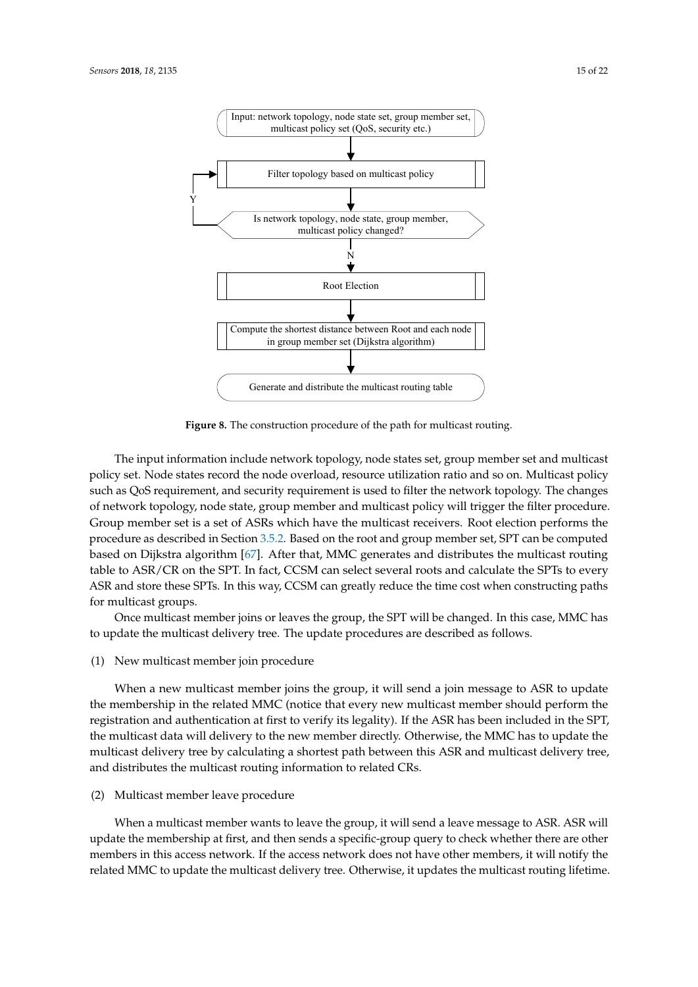<span id="page-14-0"></span>

**Figure 8.** The construction procedure of the path for multicast routing.

The input information include network topology, node states set, group member set and multicast policy set. Node states record the node overload, resource utilization ratio and so on. Multicast policy such as QoS requirement, and security requirement is used to filter the network topology. The changes of network topology, node state, group member and multicast policy will trigger the filter procedure. Group member set is a set of ASRs which have the multicast receivers. Root election performs the procedure as described in Section [3.5.2.](#page-12-1) Based on the root and group member set, SPT can be computed based on Dijkstra algorithm [\[67\]](#page-21-0). After that, MMC generates and distributes the multicast routing table to ASR/CR on the SPT. In fact, CCSM can select several roots and calculate the SPTs to every ASR and store these SPTs. In this way, CCSM can greatly reduce the time cost when constructing paths for multicast groups.

Once multicast member joins or leaves the group, the SPT will be changed. In this case, MMC has to update the multicast delivery tree. The update procedures are described as follows.

(1) New multicast member join procedure

When a new multicast member joins the group, it will send a join message to ASR to update the membership in the related MMC (notice that every new multicast member should perform the registration and authentication at first to verify its legality). If the ASR has been included in the SPT, the multicast data will delivery to the new member directly. Otherwise, the MMC has to update the multicast delivery tree by calculating a shortest path between this ASR and multicast delivery tree, and distributes the multicast routing information to related CRs.

(2) Multicast member leave procedure

When a multicast member wants to leave the group, it will send a leave message to ASR. ASR will update the membership at first, and then sends a specific-group query to check whether there are other members in this access network. If the access network does not have other members, it will notify the related MMC to update the multicast delivery tree. Otherwise, it updates the multicast routing lifetime.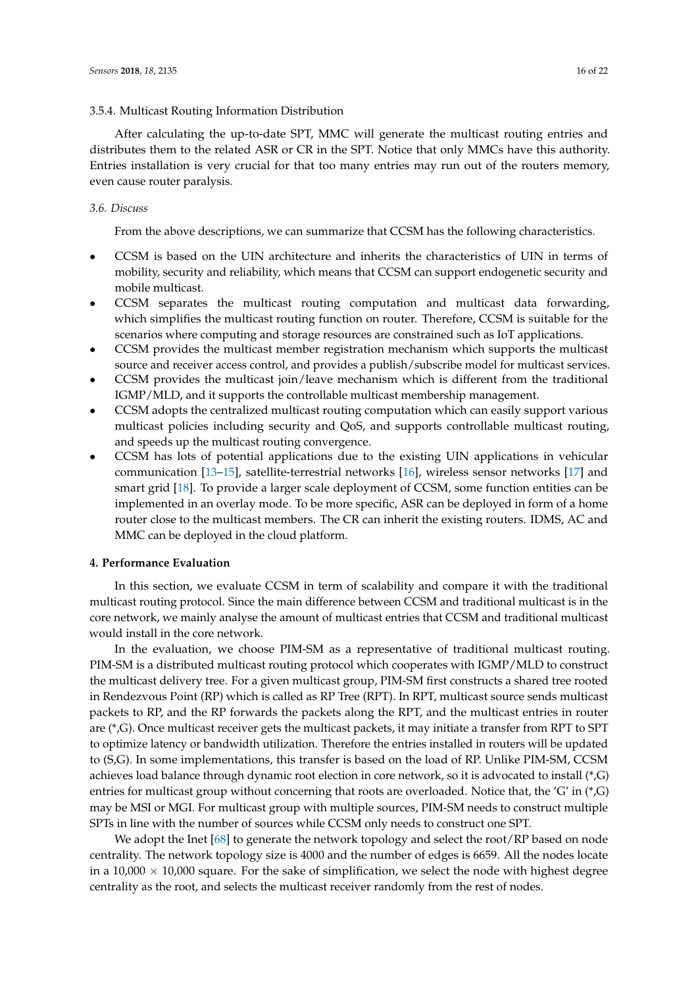#### 3.5.4. Multicast Routing Information Distribution

After calculating the up-to-date SPT, MMC will generate the multicast routing entries and distributes them to the related ASR or CR in the SPT. Notice that only MMCs have this authority. Entries installation is very crucial for that too many entries may run out of the routers memory, even cause router paralysis.

#### *3.6. Discuss*

From the above descriptions, we can summarize that CCSM has the following characteristics.

- CCSM is based on the UIN architecture and inherits the characteristics of UIN in terms of mobility, security and reliability, which means that CCSM can support endogenetic security and mobile multicast.
- CCSM separates the multicast routing computation and multicast data forwarding, which simplifies the multicast routing function on router. Therefore, CCSM is suitable for the scenarios where computing and storage resources are constrained such as IoT applications.
- CCSM provides the multicast member registration mechanism which supports the multicast source and receiver access control, and provides a publish/subscribe model for multicast services.
- CCSM provides the multicast join/leave mechanism which is different from the traditional IGMP/MLD, and it supports the controllable multicast membership management.
- CCSM adopts the centralized multicast routing computation which can easily support various multicast policies including security and QoS, and supports controllable multicast routing, and speeds up the multicast routing convergence.
- CCSM has lots of potential applications due to the existing UIN applications in vehicular communication [\[13](#page-18-9)[–15\]](#page-18-10), satellite-terrestrial networks [\[16\]](#page-18-11), wireless sensor networks [\[17\]](#page-18-12) and smart grid [\[18\]](#page-18-13). To provide a larger scale deployment of CCSM, some function entities can be implemented in an overlay mode. To be more specific, ASR can be deployed in form of a home router close to the multicast members. The CR can inherit the existing routers. IDMS, AC and MMC can be deployed in the cloud platform.

#### <span id="page-15-0"></span>**4. Performance Evaluation**

In this section, we evaluate CCSM in term of scalability and compare it with the traditional multicast routing protocol. Since the main difference between CCSM and traditional multicast is in the core network, we mainly analyse the amount of multicast entries that CCSM and traditional multicast would install in the core network.

In the evaluation, we choose PIM-SM as a representative of traditional multicast routing. PIM-SM is a distributed multicast routing protocol which cooperates with IGMP/MLD to construct the multicast delivery tree. For a given multicast group, PIM-SM first constructs a shared tree rooted in Rendezvous Point (RP) which is called as RP Tree (RPT). In RPT, multicast source sends multicast packets to RP, and the RP forwards the packets along the RPT, and the multicast entries in router are (\*,G). Once multicast receiver gets the multicast packets, it may initiate a transfer from RPT to SPT to optimize latency or bandwidth utilization. Therefore the entries installed in routers will be updated to (S,G). In some implementations, this transfer is based on the load of RP. Unlike PIM-SM, CCSM achieves load balance through dynamic root election in core network, so it is advocated to install (\*,G) entries for multicast group without concerning that roots are overloaded. Notice that, the 'G' in (\*,G) may be MSI or MGI. For multicast group with multiple sources, PIM-SM needs to construct multiple SPTs in line with the number of sources while CCSM only needs to construct one SPT.

We adopt the Inet [\[68\]](#page-21-1) to generate the network topology and select the root/RP based on node centrality. The network topology size is 4000 and the number of edges is 6659. All the nodes locate in a  $10,000 \times 10,000$  square. For the sake of simplification, we select the node with highest degree centrality as the root, and selects the multicast receiver randomly from the rest of nodes.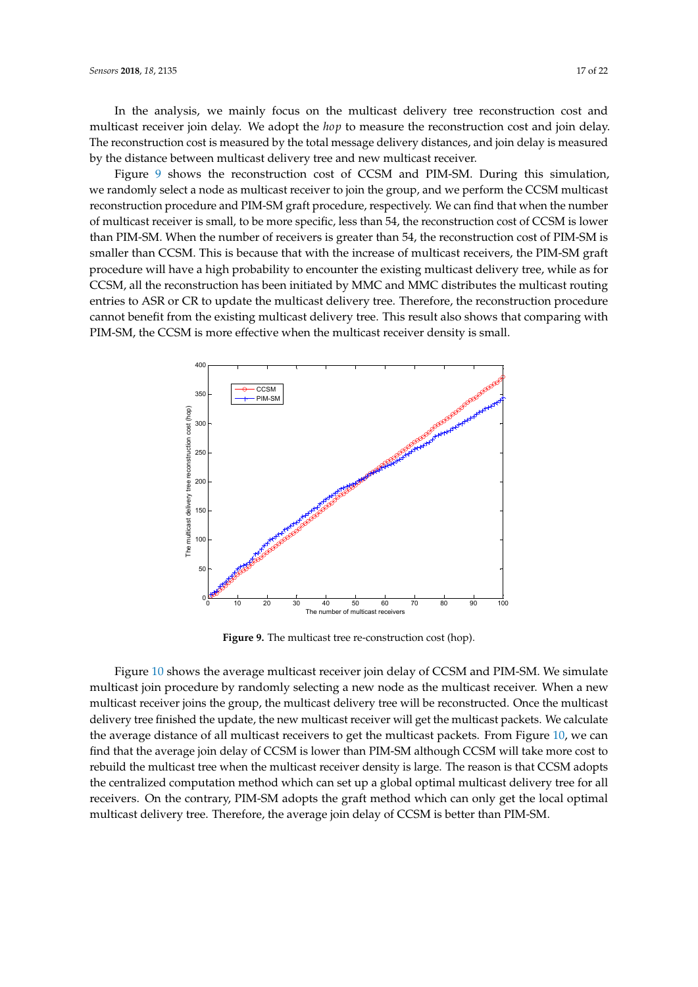In the analysis, we mainly focus on the multicast delivery tree reconstruction cost and multicast receiver join delay. We adopt the *hop* to measure the reconstruction cost and join delay. The reconstruction cost is measured by the total message delivery distances, and join delay is measured by the distance between multicast delivery tree and new multicast receiver.

Figure [9](#page-16-0) shows the reconstruction cost of CCSM and PIM-SM. During this simulation, we randomly select a node as multicast receiver to join the group, and we perform the CCSM multicast reconstruction procedure and PIM-SM graft procedure, respectively. We can find that when the number of multicast receiver is small, to be more specific, less than 54, the reconstruction cost of CCSM is lower than PIM-SM. When the number of receivers is greater than 54, the reconstruction cost of PIM-SM is smaller than CCSM. This is because that with the increase of multicast receivers, the PIM-SM graft procedure will have a high probability to encounter the existing multicast delivery tree, while as for CCSM, all the reconstruction has been initiated by MMC and MMC distributes the multicast routing entries to ASR or CR to update the multicast delivery tree. Therefore, the reconstruction procedure cannot benefit from the existing multicast delivery tree. This result also shows that comparing with PIM-SM, the CCSM is more effective when the multicast receiver density is small.

<span id="page-16-0"></span>

**Figure 9.** The multicast tree re-construction cost (hop).

Figure [10](#page-17-3) shows the average multicast receiver join delay of CCSM and PIM-SM. We simulate multicast join procedure by randomly selecting a new node as the multicast receiver. When a new multicast receiver joins the group, the multicast delivery tree will be reconstructed. Once the multicast delivery tree finished the update, the new multicast receiver will get the multicast packets. We calculate the average distance of all multicast receivers to get the multicast packets. From Figure [10,](#page-17-3) we can find that the average join delay of CCSM is lower than PIM-SM although CCSM will take more cost to rebuild the multicast tree when the multicast receiver density is large. The reason is that CCSM adopts the centralized computation method which can set up a global optimal multicast delivery tree for all receivers. On the contrary, PIM-SM adopts the graft method which can only get the local optimal multicast delivery tree. Therefore, the average join delay of CCSM is better than PIM-SM.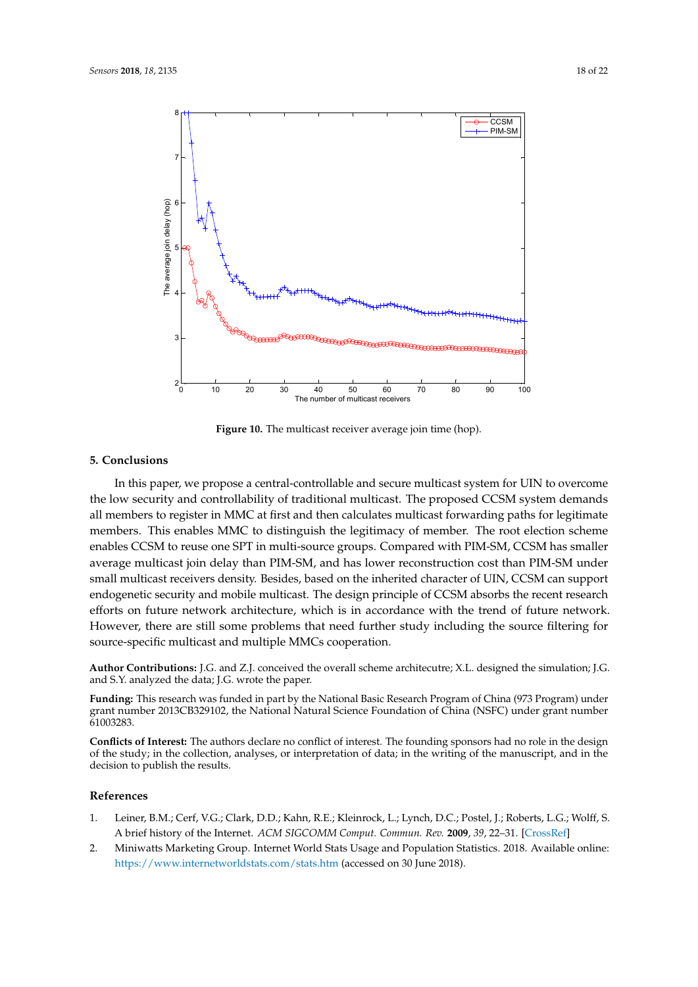<span id="page-17-3"></span>

**Figure 10.** The multicast receiver average join time (hop).

## <span id="page-17-2"></span>**5. Conclusions**

In this paper, we propose a central-controllable and secure multicast system for UIN to overcome the low security and controllability of traditional multicast. The proposed CCSM system demands all members to register in MMC at first and then calculates multicast forwarding paths for legitimate members. This enables MMC to distinguish the legitimacy of member. The root election scheme enables CCSM to reuse one SPT in multi-source groups. Compared with PIM-SM, CCSM has smaller average multicast join delay than PIM-SM, and has lower reconstruction cost than PIM-SM under small multicast receivers density. Besides, based on the inherited character of UIN, CCSM can support endogenetic security and mobile multicast. The design principle of CCSM absorbs the recent research efforts on future network architecture, which is in accordance with the trend of future network. However, there are still some problems that need further study including the source filtering for source-specific multicast and multiple MMCs cooperation.

**Author Contributions:** J.G. and Z.J. conceived the overall scheme architecutre; X.L. designed the simulation; J.G. and S.Y. analyzed the data; J.G. wrote the paper.

**Funding:** This research was funded in part by the National Basic Research Program of China (973 Program) under grant number 2013CB329102, the National Natural Science Foundation of China (NSFC) under grant number 61003283.

**Conflicts of Interest:** The authors declare no conflict of interest. The founding sponsors had no role in the design of the study; in the collection, analyses, or interpretation of data; in the writing of the manuscript, and in the decision to publish the results.

#### **References**

- <span id="page-17-0"></span>1. Leiner, B.M.; Cerf, V.G.; Clark, D.D.; Kahn, R.E.; Kleinrock, L.; Lynch, D.C.; Postel, J.; Roberts, L.G.; Wolff, S. A brief history of the Internet. *ACM SIGCOMM Comput. Commun. Rev.* **2009**, *39*, 22–31. [\[CrossRef\]](http://dx.doi.org/10.1145/1629607.1629613)
- <span id="page-17-1"></span>2. Miniwatts Marketing Group. Internet World Stats Usage and Population Statistics. 2018. Available online: <https://www.internetworldstats.com/stats.htm> (accessed on 30 June 2018).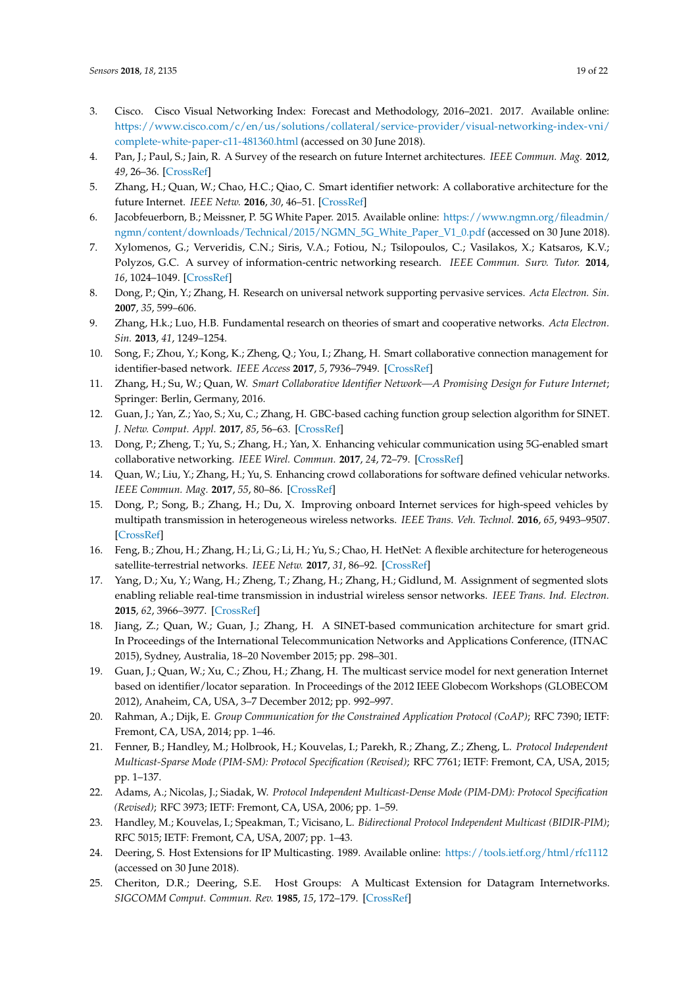- <span id="page-18-0"></span>3. Cisco. Cisco Visual Networking Index: Forecast and Methodology, 2016–2021. 2017. Available online: [https://www.cisco.com/c/en/us/solutions/collateral/service-provider/visual-networking-index-vni/](https://www.cisco.com/c/en/us/solutions/collateral/service-provider/visual-networking-index-vni/complete-white-paper-c11-481360.html) [complete-white-paper-c11-481360.html](https://www.cisco.com/c/en/us/solutions/collateral/service-provider/visual-networking-index-vni/complete-white-paper-c11-481360.html) (accessed on 30 June 2018).
- <span id="page-18-1"></span>4. Pan, J.; Paul, S.; Jain, R. A Survey of the research on future Internet architectures. *IEEE Commun. Mag.* **2012**, *49*, 26–36. [\[CrossRef\]](http://dx.doi.org/10.1109/MCOM.2011.5936152)
- <span id="page-18-2"></span>5. Zhang, H.; Quan, W.; Chao, H.C.; Qiao, C. Smart identifier network: A collaborative architecture for the future Internet. *IEEE Netw.* **2016**, *30*, 46–51. [\[CrossRef\]](http://dx.doi.org/10.1109/MNET.2016.7474343)
- <span id="page-18-3"></span>6. Jacobfeuerborn, B.; Meissner, P. 5G White Paper. 2015. Available online: [https://www.ngmn.org/fileadmin/](https://www.ngmn.org/fileadmin/ngmn/content/downloads/Technical/2015/NGMN_5G_White_Paper_V1_0.pdf) [ngmn/content/downloads/Technical/2015/NGMN\\_5G\\_White\\_Paper\\_V1\\_0.pdf](https://www.ngmn.org/fileadmin/ngmn/content/downloads/Technical/2015/NGMN_5G_White_Paper_V1_0.pdf) (accessed on 30 June 2018).
- <span id="page-18-4"></span>7. Xylomenos, G.; Ververidis, C.N.; Siris, V.A.; Fotiou, N.; Tsilopoulos, C.; Vasilakos, X.; Katsaros, K.V.; Polyzos, G.C. A survey of information-centric networking research. *IEEE Commun. Surv. Tutor.* **2014**, *16*, 1024–1049. [\[CrossRef\]](http://dx.doi.org/10.1109/SURV.2013.070813.00063)
- <span id="page-18-5"></span>8. Dong, P.; Qin, Y.; Zhang, H. Research on universal network supporting pervasive services. *Acta Electron. Sin.* **2007**, *35*, 599–606.
- 9. Zhang, H.k.; Luo, H.B. Fundamental research on theories of smart and cooperative networks. *Acta Electron. Sin.* **2013**, *41*, 1249–1254.
- <span id="page-18-6"></span>10. Song, F.; Zhou, Y.; Kong, K.; Zheng, Q.; You, I.; Zhang, H. Smart collaborative connection management for identifier-based network. *IEEE Access* **2017**, *5*, 7936–7949. [\[CrossRef\]](http://dx.doi.org/10.1109/ACCESS.2017.2700337)
- <span id="page-18-7"></span>11. Zhang, H.; Su, W.; Quan, W. *Smart Collaborative Identifier Network—A Promising Design for Future Internet*; Springer: Berlin, Germany, 2016.
- <span id="page-18-8"></span>12. Guan, J.; Yan, Z.; Yao, S.; Xu, C.; Zhang, H. GBC-based caching function group selection algorithm for SINET. *J. Netw. Comput. Appl.* **2017**, *85*, 56–63. [\[CrossRef\]](http://dx.doi.org/10.1016/j.jnca.2016.12.004)
- <span id="page-18-9"></span>13. Dong, P.; Zheng, T.; Yu, S.; Zhang, H.; Yan, X. Enhancing vehicular communication using 5G-enabled smart collaborative networking. *IEEE Wirel. Commun.* **2017**, *24*, 72–79. [\[CrossRef\]](http://dx.doi.org/10.1109/MWC.2017.1600375)
- 14. Quan, W.; Liu, Y.; Zhang, H.; Yu, S. Enhancing crowd collaborations for software defined vehicular networks. *IEEE Commun. Mag.* **2017**, *55*, 80–86. [\[CrossRef\]](http://dx.doi.org/10.1109/MCOM.2017.1601162)
- <span id="page-18-10"></span>15. Dong, P.; Song, B.; Zhang, H.; Du, X. Improving onboard Internet services for high-speed vehicles by multipath transmission in heterogeneous wireless networks. *IEEE Trans. Veh. Technol.* **2016**, *65*, 9493–9507. [\[CrossRef\]](http://dx.doi.org/10.1109/TVT.2016.2581020)
- <span id="page-18-11"></span>16. Feng, B.; Zhou, H.; Zhang, H.; Li, G.; Li, H.; Yu, S.; Chao, H. HetNet: A flexible architecture for heterogeneous satellite-terrestrial networks. *IEEE Netw.* **2017**, *31*, 86–92. [\[CrossRef\]](http://dx.doi.org/10.1109/MNET.2017.1600330)
- <span id="page-18-12"></span>17. Yang, D.; Xu, Y.; Wang, H.; Zheng, T.; Zhang, H.; Zhang, H.; Gidlund, M. Assignment of segmented slots enabling reliable real-time transmission in industrial wireless sensor networks. *IEEE Trans. Ind. Electron.* **2015**, *62*, 3966–3977. [\[CrossRef\]](http://dx.doi.org/10.1109/TIE.2015.2402642)
- <span id="page-18-13"></span>18. Jiang, Z.; Quan, W.; Guan, J.; Zhang, H. A SINET-based communication architecture for smart grid. In Proceedings of the International Telecommunication Networks and Applications Conference, (ITNAC 2015), Sydney, Australia, 18–20 November 2015; pp. 298–301.
- <span id="page-18-14"></span>19. Guan, J.; Quan, W.; Xu, C.; Zhou, H.; Zhang, H. The multicast service model for next generation Internet based on identifier/locator separation. In Proceedings of the 2012 IEEE Globecom Workshops (GLOBECOM 2012), Anaheim, CA, USA, 3–7 December 2012; pp. 992–997.
- <span id="page-18-15"></span>20. Rahman, A.; Dijk, E. *Group Communication for the Constrained Application Protocol (CoAP)*; RFC 7390; IETF: Fremont, CA, USA, 2014; pp. 1–46.
- <span id="page-18-16"></span>21. Fenner, B.; Handley, M.; Holbrook, H.; Kouvelas, I.; Parekh, R.; Zhang, Z.; Zheng, L. *Protocol Independent Multicast-Sparse Mode (PIM-SM): Protocol Specification (Revised)*; RFC 7761; IETF: Fremont, CA, USA, 2015; pp. 1–137.
- <span id="page-18-17"></span>22. Adams, A.; Nicolas, J.; Siadak, W. *Protocol Independent Multicast-Dense Mode (PIM-DM): Protocol Specification (Revised)*; RFC 3973; IETF: Fremont, CA, USA, 2006; pp. 1–59.
- <span id="page-18-18"></span>23. Handley, M.; Kouvelas, I.; Speakman, T.; Vicisano, L. *Bidirectional Protocol Independent Multicast (BIDIR-PIM)*; RFC 5015; IETF: Fremont, CA, USA, 2007; pp. 1–43.
- <span id="page-18-19"></span>24. Deering, S. Host Extensions for IP Multicasting. 1989. Available online: <https://tools.ietf.org/html/rfc1112> (accessed on 30 June 2018).
- <span id="page-18-20"></span>25. Cheriton, D.R.; Deering, S.E. Host Groups: A Multicast Extension for Datagram Internetworks. *SIGCOMM Comput. Commun. Rev.* **1985**, *15*, 172–179. [\[CrossRef\]](http://dx.doi.org/10.1145/318951.319039)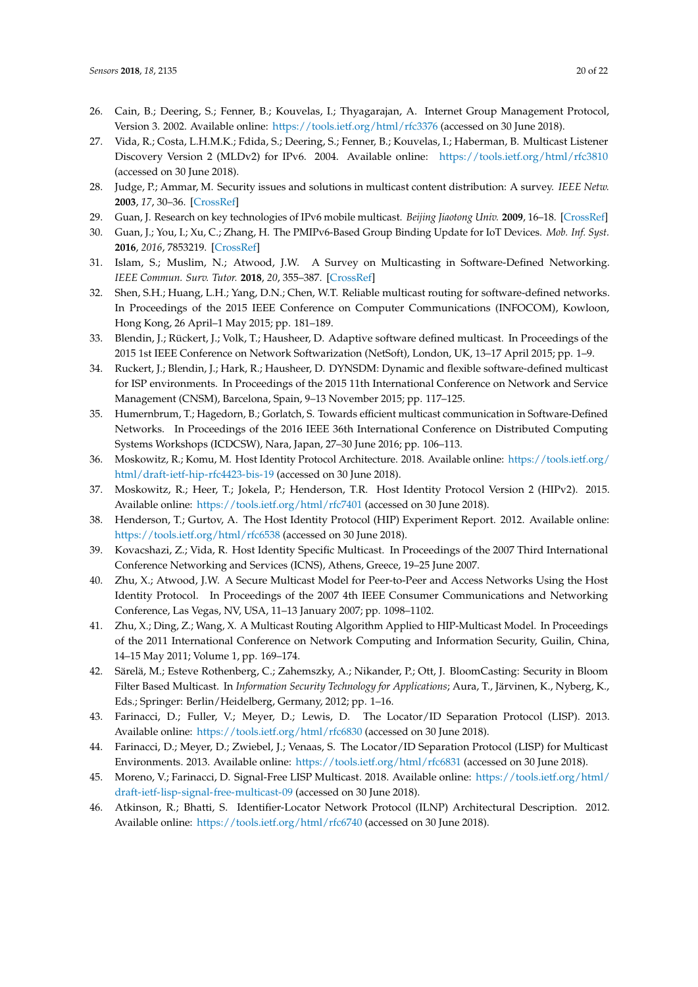- <span id="page-19-0"></span>26. Cain, B.; Deering, S.; Fenner, B.; Kouvelas, I.; Thyagarajan, A. Internet Group Management Protocol, Version 3. 2002. Available online: <https://tools.ietf.org/html/rfc3376> (accessed on 30 June 2018).
- <span id="page-19-1"></span>27. Vida, R.; Costa, L.H.M.K.; Fdida, S.; Deering, S.; Fenner, B.; Kouvelas, I.; Haberman, B. Multicast Listener Discovery Version 2 (MLDv2) for IPv6. 2004. Available online: <https://tools.ietf.org/html/rfc3810> (accessed on 30 June 2018).
- <span id="page-19-2"></span>28. Judge, P.; Ammar, M. Security issues and solutions in multicast content distribution: A survey. *IEEE Netw.* **2003**, *17*, 30–36. [\[CrossRef\]](http://dx.doi.org/10.1109/MNET.2003.1174175)
- <span id="page-19-4"></span><span id="page-19-3"></span>29. Guan, J. Research on key technologies of IPv6 mobile multicast. *Beijing Jiaotong Univ.* **2009**, 16–18. [\[CrossRef\]](http://dx.doi.org/10.7666/d.y1854430)
- 30. Guan, J.; You, I.; Xu, C.; Zhang, H. The PMIPv6-Based Group Binding Update for IoT Devices. *Mob. Inf. Syst.* **2016**, *2016*, 7853219. [\[CrossRef\]](http://dx.doi.org/10.1155/2016/7853219)
- <span id="page-19-5"></span>31. Islam, S.; Muslim, N.; Atwood, J.W. A Survey on Multicasting in Software-Defined Networking. *IEEE Commun. Surv. Tutor.* **2018**, *20*, 355–387. [\[CrossRef\]](http://dx.doi.org/10.1109/COMST.2017.2776213)
- <span id="page-19-6"></span>32. Shen, S.H.; Huang, L.H.; Yang, D.N.; Chen, W.T. Reliable multicast routing for software-defined networks. In Proceedings of the 2015 IEEE Conference on Computer Communications (INFOCOM), Kowloon, Hong Kong, 26 April–1 May 2015; pp. 181–189.
- <span id="page-19-7"></span>33. Blendin, J.; Rückert, J.; Volk, T.; Hausheer, D. Adaptive software defined multicast. In Proceedings of the 2015 1st IEEE Conference on Network Softwarization (NetSoft), London, UK, 13–17 April 2015; pp. 1–9.
- <span id="page-19-8"></span>34. Ruckert, J.; Blendin, J.; Hark, R.; Hausheer, D. DYNSDM: Dynamic and flexible software-defined multicast for ISP environments. In Proceedings of the 2015 11th International Conference on Network and Service Management (CNSM), Barcelona, Spain, 9–13 November 2015; pp. 117–125.
- <span id="page-19-9"></span>35. Humernbrum, T.; Hagedorn, B.; Gorlatch, S. Towards efficient multicast communication in Software-Defined Networks. In Proceedings of the 2016 IEEE 36th International Conference on Distributed Computing Systems Workshops (ICDCSW), Nara, Japan, 27–30 June 2016; pp. 106–113.
- <span id="page-19-10"></span>36. Moskowitz, R.; Komu, M. Host Identity Protocol Architecture. 2018. Available online: [https://tools.ietf.org/](https://tools.ietf.org/html/draft-ietf-hip-rfc4423-bis-19) [html/draft-ietf-hip-rfc4423-bis-19](https://tools.ietf.org/html/draft-ietf-hip-rfc4423-bis-19) (accessed on 30 June 2018).
- <span id="page-19-11"></span>37. Moskowitz, R.; Heer, T.; Jokela, P.; Henderson, T.R. Host Identity Protocol Version 2 (HIPv2). 2015. Available online: <https://tools.ietf.org/html/rfc7401> (accessed on 30 June 2018).
- <span id="page-19-12"></span>38. Henderson, T.; Gurtov, A. The Host Identity Protocol (HIP) Experiment Report. 2012. Available online: <https://tools.ietf.org/html/rfc6538> (accessed on 30 June 2018).
- <span id="page-19-13"></span>39. Kovacshazi, Z.; Vida, R. Host Identity Specific Multicast. In Proceedings of the 2007 Third International Conference Networking and Services (ICNS), Athens, Greece, 19–25 June 2007.
- <span id="page-19-14"></span>40. Zhu, X.; Atwood, J.W. A Secure Multicast Model for Peer-to-Peer and Access Networks Using the Host Identity Protocol. In Proceedings of the 2007 4th IEEE Consumer Communications and Networking Conference, Las Vegas, NV, USA, 11–13 January 2007; pp. 1098–1102.
- <span id="page-19-15"></span>41. Zhu, X.; Ding, Z.; Wang, X. A Multicast Routing Algorithm Applied to HIP-Multicast Model. In Proceedings of the 2011 International Conference on Network Computing and Information Security, Guilin, China, 14–15 May 2011; Volume 1, pp. 169–174.
- <span id="page-19-16"></span>42. Särelä, M.; Esteve Rothenberg, C.; Zahemszky, A.; Nikander, P.; Ott, J. BloomCasting: Security in Bloom Filter Based Multicast. In *Information Security Technology for Applications*; Aura, T., Järvinen, K., Nyberg, K., Eds.; Springer: Berlin/Heidelberg, Germany, 2012; pp. 1–16.
- <span id="page-19-17"></span>43. Farinacci, D.; Fuller, V.; Meyer, D.; Lewis, D. The Locator/ID Separation Protocol (LISP). 2013. Available online: <https://tools.ietf.org/html/rfc6830> (accessed on 30 June 2018).
- <span id="page-19-18"></span>44. Farinacci, D.; Meyer, D.; Zwiebel, J.; Venaas, S. The Locator/ID Separation Protocol (LISP) for Multicast Environments. 2013. Available online: <https://tools.ietf.org/html/rfc6831> (accessed on 30 June 2018).
- <span id="page-19-19"></span>45. Moreno, V.; Farinacci, D. Signal-Free LISP Multicast. 2018. Available online: [https://tools.ietf.org/html/](https://tools.ietf.org/html/draft-ietf-lisp-signal-free-multicast-09) [draft-ietf-lisp-signal-free-multicast-09](https://tools.ietf.org/html/draft-ietf-lisp-signal-free-multicast-09) (accessed on 30 June 2018).
- <span id="page-19-20"></span>46. Atkinson, R.; Bhatti, S. Identifier-Locator Network Protocol (ILNP) Architectural Description. 2012. Available online: <https://tools.ietf.org/html/rfc6740> (accessed on 30 June 2018).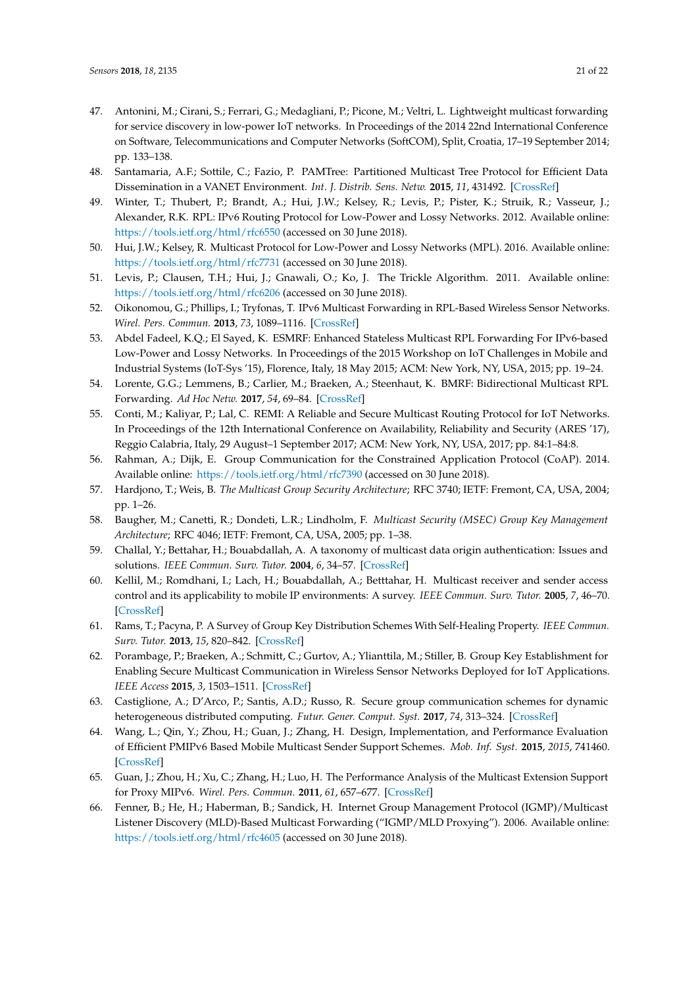- <span id="page-20-0"></span>47. Antonini, M.; Cirani, S.; Ferrari, G.; Medagliani, P.; Picone, M.; Veltri, L. Lightweight multicast forwarding for service discovery in low-power IoT networks. In Proceedings of the 2014 22nd International Conference on Software, Telecommunications and Computer Networks (SoftCOM), Split, Croatia, 17–19 September 2014; pp. 133–138.
- <span id="page-20-1"></span>48. Santamaria, A.F.; Sottile, C.; Fazio, P. PAMTree: Partitioned Multicast Tree Protocol for Efficient Data Dissemination in a VANET Environment. *Int. J. Distrib. Sens. Netw.* **2015**, *11*, 431492. [\[CrossRef\]](http://dx.doi.org/10.1155/2015/431492)
- <span id="page-20-2"></span>49. Winter, T.; Thubert, P.; Brandt, A.; Hui, J.W.; Kelsey, R.; Levis, P.; Pister, K.; Struik, R.; Vasseur, J.; Alexander, R.K. RPL: IPv6 Routing Protocol for Low-Power and Lossy Networks. 2012. Available online: <https://tools.ietf.org/html/rfc6550> (accessed on 30 June 2018).
- <span id="page-20-3"></span>50. Hui, J.W.; Kelsey, R. Multicast Protocol for Low-Power and Lossy Networks (MPL). 2016. Available online: <https://tools.ietf.org/html/rfc7731> (accessed on 30 June 2018).
- <span id="page-20-4"></span>51. Levis, P.; Clausen, T.H.; Hui, J.; Gnawali, O.; Ko, J. The Trickle Algorithm. 2011. Available online: <https://tools.ietf.org/html/rfc6206> (accessed on 30 June 2018).
- <span id="page-20-5"></span>52. Oikonomou, G.; Phillips, I.; Tryfonas, T. IPv6 Multicast Forwarding in RPL-Based Wireless Sensor Networks. *Wirel. Pers. Commun.* **2013**, *73*, 1089–1116. [\[CrossRef\]](http://dx.doi.org/10.1007/s11277-013-1250-5)
- <span id="page-20-6"></span>53. Abdel Fadeel, K.Q.; El Sayed, K. ESMRF: Enhanced Stateless Multicast RPL Forwarding For IPv6-based Low-Power and Lossy Networks. In Proceedings of the 2015 Workshop on IoT Challenges in Mobile and Industrial Systems (IoT-Sys '15), Florence, Italy, 18 May 2015; ACM: New York, NY, USA, 2015; pp. 19–24.
- <span id="page-20-7"></span>54. Lorente, G.G.; Lemmens, B.; Carlier, M.; Braeken, A.; Steenhaut, K. BMRF: Bidirectional Multicast RPL Forwarding. *Ad Hoc Netw.* **2017**, *54*, 69–84. [\[CrossRef\]](http://dx.doi.org/10.1016/j.adhoc.2016.10.004)
- <span id="page-20-8"></span>55. Conti, M.; Kaliyar, P.; Lal, C. REMI: A Reliable and Secure Multicast Routing Protocol for IoT Networks. In Proceedings of the 12th International Conference on Availability, Reliability and Security (ARES '17), Reggio Calabria, Italy, 29 August–1 September 2017; ACM: New York, NY, USA, 2017; pp. 84:1–84:8.
- <span id="page-20-9"></span>56. Rahman, A.; Dijk, E. Group Communication for the Constrained Application Protocol (CoAP). 2014. Available online: <https://tools.ietf.org/html/rfc7390> (accessed on 30 June 2018).
- <span id="page-20-10"></span>57. Hardjono, T.; Weis, B. *The Multicast Group Security Architecture*; RFC 3740; IETF: Fremont, CA, USA, 2004; pp. 1–26.
- <span id="page-20-11"></span>58. Baugher, M.; Canetti, R.; Dondeti, L.R.; Lindholm, F. *Multicast Security (MSEC) Group Key Management Architecture*; RFC 4046; IETF: Fremont, CA, USA, 2005; pp. 1–38.
- <span id="page-20-12"></span>59. Challal, Y.; Bettahar, H.; Bouabdallah, A. A taxonomy of multicast data origin authentication: Issues and solutions. *IEEE Commun. Surv. Tutor.* **2004**, *6*, 34–57. [\[CrossRef\]](http://dx.doi.org/10.1109/COMST.2004.5342292)
- <span id="page-20-13"></span>60. Kellil, M.; Romdhani, I.; Lach, H.; Bouabdallah, A.; Betttahar, H. Multicast receiver and sender access control and its applicability to mobile IP environments: A survey. *IEEE Commun. Surv. Tutor.* **2005**, *7*, 46–70. [\[CrossRef\]](http://dx.doi.org/10.1109/COMST.2005.1610545)
- <span id="page-20-14"></span>61. Rams, T.; Pacyna, P. A Survey of Group Key Distribution Schemes With Self-Healing Property. *IEEE Commun. Surv. Tutor.* **2013**, *15*, 820–842. [\[CrossRef\]](http://dx.doi.org/10.1109/SURV.2012.081712.00144)
- <span id="page-20-15"></span>62. Porambage, P.; Braeken, A.; Schmitt, C.; Gurtov, A.; Ylianttila, M.; Stiller, B. Group Key Establishment for Enabling Secure Multicast Communication in Wireless Sensor Networks Deployed for IoT Applications. *IEEE Access* **2015**, *3*, 1503–1511. [\[CrossRef\]](http://dx.doi.org/10.1109/ACCESS.2015.2474705)
- <span id="page-20-16"></span>63. Castiglione, A.; D'Arco, P.; Santis, A.D.; Russo, R. Secure group communication schemes for dynamic heterogeneous distributed computing. *Futur. Gener. Comput. Syst.* **2017**, *74*, 313–324. [\[CrossRef\]](http://dx.doi.org/10.1016/j.future.2015.11.026)
- <span id="page-20-17"></span>64. Wang, L.; Qin, Y.; Zhou, H.; Guan, J.; Zhang, H. Design, Implementation, and Performance Evaluation of Efficient PMIPv6 Based Mobile Multicast Sender Support Schemes. *Mob. Inf. Syst.* **2015**, *2015*, 741460. [\[CrossRef\]](http://dx.doi.org/10.1155/2015/741460)
- <span id="page-20-18"></span>65. Guan, J.; Zhou, H.; Xu, C.; Zhang, H.; Luo, H. The Performance Analysis of the Multicast Extension Support for Proxy MIPv6. *Wirel. Pers. Commun.* **2011**, *61*, 657–677. [\[CrossRef\]](http://dx.doi.org/10.1007/s11277-011-0425-1)
- <span id="page-20-19"></span>66. Fenner, B.; He, H.; Haberman, B.; Sandick, H. Internet Group Management Protocol (IGMP)/Multicast Listener Discovery (MLD)-Based Multicast Forwarding ("IGMP/MLD Proxying"). 2006. Available online: <https://tools.ietf.org/html/rfc4605> (accessed on 30 June 2018).